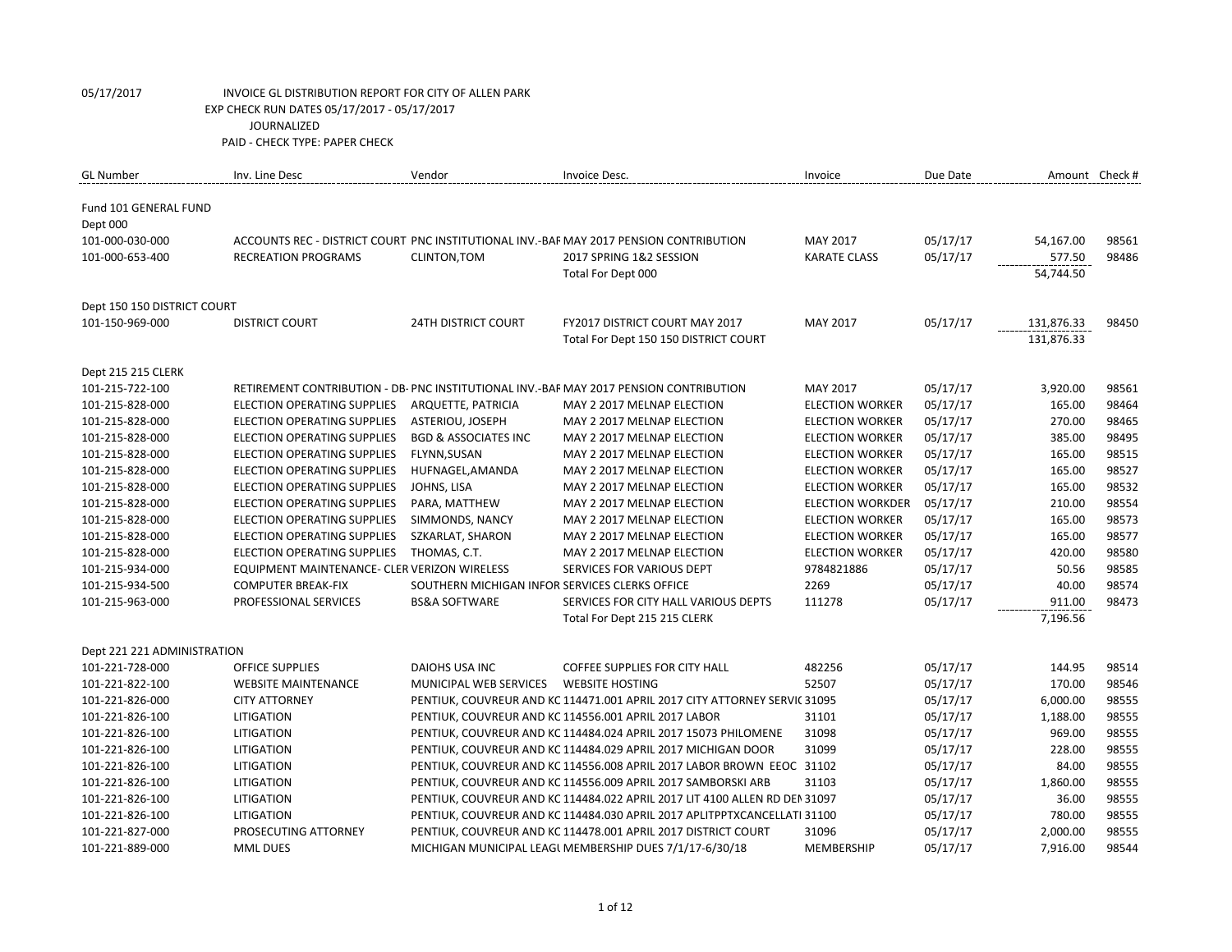| <b>GL Number</b>            | Inv. Line Desc                               | Vendor                                         | Invoice Desc.                                                                          | Invoice                 | Due Date | Amount Check # |       |
|-----------------------------|----------------------------------------------|------------------------------------------------|----------------------------------------------------------------------------------------|-------------------------|----------|----------------|-------|
| Fund 101 GENERAL FUND       |                                              |                                                |                                                                                        |                         |          |                |       |
| Dept 000                    |                                              |                                                |                                                                                        |                         |          |                |       |
| 101-000-030-000             |                                              |                                                | ACCOUNTS REC - DISTRICT COURT PNC INSTITUTIONAL INV.-BAF MAY 2017 PENSION CONTRIBUTION | <b>MAY 2017</b>         | 05/17/17 | 54,167.00      | 98561 |
| 101-000-653-400             | <b>RECREATION PROGRAMS</b>                   | CLINTON, TOM                                   | 2017 SPRING 1&2 SESSION                                                                | <b>KARATE CLASS</b>     | 05/17/17 | 577.50         | 98486 |
|                             |                                              |                                                | Total For Dept 000                                                                     |                         |          | 54,744.50      |       |
| Dept 150 150 DISTRICT COURT |                                              |                                                |                                                                                        |                         |          |                |       |
| 101-150-969-000             | <b>DISTRICT COURT</b>                        | <b>24TH DISTRICT COURT</b>                     | <b>FY2017 DISTRICT COURT MAY 2017</b>                                                  | <b>MAY 2017</b>         | 05/17/17 | 131,876.33     | 98450 |
|                             |                                              |                                                | Total For Dept 150 150 DISTRICT COURT                                                  |                         |          | 131,876.33     |       |
| Dept 215 215 CLERK          |                                              |                                                |                                                                                        |                         |          |                |       |
| 101-215-722-100             |                                              |                                                | RETIREMENT CONTRIBUTION - DB- PNC INSTITUTIONAL INV.-BAF MAY 2017 PENSION CONTRIBUTION | MAY 2017                | 05/17/17 | 3,920.00       | 98561 |
| 101-215-828-000             | <b>ELECTION OPERATING SUPPLIES</b>           | ARQUETTE, PATRICIA                             | MAY 2 2017 MELNAP ELECTION                                                             | <b>ELECTION WORKER</b>  | 05/17/17 | 165.00         | 98464 |
| 101-215-828-000             | ELECTION OPERATING SUPPLIES                  | ASTERIOU, JOSEPH                               | MAY 2 2017 MELNAP ELECTION                                                             | <b>ELECTION WORKER</b>  | 05/17/17 | 270.00         | 98465 |
| 101-215-828-000             | ELECTION OPERATING SUPPLIES                  | <b>BGD &amp; ASSOCIATES INC</b>                | MAY 2 2017 MELNAP ELECTION                                                             | <b>ELECTION WORKER</b>  | 05/17/17 | 385.00         | 98495 |
| 101-215-828-000             | <b>ELECTION OPERATING SUPPLIES</b>           | FLYNN, SUSAN                                   | MAY 2 2017 MELNAP ELECTION                                                             | <b>ELECTION WORKER</b>  | 05/17/17 | 165.00         | 98515 |
| 101-215-828-000             | <b>ELECTION OPERATING SUPPLIES</b>           | HUFNAGEL, AMANDA                               | MAY 2 2017 MELNAP ELECTION                                                             | <b>ELECTION WORKER</b>  | 05/17/17 | 165.00         | 98527 |
| 101-215-828-000             | <b>ELECTION OPERATING SUPPLIES</b>           | JOHNS, LISA                                    | MAY 2 2017 MELNAP ELECTION                                                             | <b>ELECTION WORKER</b>  | 05/17/17 | 165.00         | 98532 |
| 101-215-828-000             | <b>ELECTION OPERATING SUPPLIES</b>           | PARA, MATTHEW                                  | MAY 2 2017 MELNAP ELECTION                                                             | <b>ELECTION WORKDER</b> | 05/17/17 | 210.00         | 98554 |
| 101-215-828-000             | <b>ELECTION OPERATING SUPPLIES</b>           | SIMMONDS, NANCY                                | MAY 2 2017 MELNAP ELECTION                                                             | <b>ELECTION WORKER</b>  | 05/17/17 | 165.00         | 98573 |
| 101-215-828-000             | <b>ELECTION OPERATING SUPPLIES</b>           | SZKARLAT, SHARON                               | MAY 2 2017 MELNAP ELECTION                                                             | <b>ELECTION WORKER</b>  | 05/17/17 | 165.00         | 98577 |
| 101-215-828-000             | ELECTION OPERATING SUPPLIES                  | THOMAS, C.T.                                   | MAY 2 2017 MELNAP ELECTION                                                             | <b>ELECTION WORKER</b>  | 05/17/17 | 420.00         | 98580 |
| 101-215-934-000             | EQUIPMENT MAINTENANCE- CLER VERIZON WIRELESS |                                                | SERVICES FOR VARIOUS DEPT                                                              | 9784821886              | 05/17/17 | 50.56          | 98585 |
| 101-215-934-500             | <b>COMPUTER BREAK-FIX</b>                    | SOUTHERN MICHIGAN INFOR SERVICES CLERKS OFFICE |                                                                                        | 2269                    | 05/17/17 | 40.00          | 98574 |
| 101-215-963-000             | PROFESSIONAL SERVICES                        | <b>BS&amp;A SOFTWARE</b>                       | SERVICES FOR CITY HALL VARIOUS DEPTS                                                   | 111278                  | 05/17/17 | 911.00         | 98473 |
|                             |                                              |                                                | Total For Dept 215 215 CLERK                                                           |                         |          | 7,196.56       |       |
| Dept 221 221 ADMINISTRATION |                                              |                                                |                                                                                        |                         |          |                |       |
| 101-221-728-000             | <b>OFFICE SUPPLIES</b>                       | <b>DAIOHS USA INC</b>                          | <b>COFFEE SUPPLIES FOR CITY HALL</b>                                                   | 482256                  | 05/17/17 | 144.95         | 98514 |
| 101-221-822-100             | <b>WEBSITE MAINTENANCE</b>                   | MUNICIPAL WEB SERVICES                         | <b>WEBSITE HOSTING</b>                                                                 | 52507                   | 05/17/17 | 170.00         | 98546 |
| 101-221-826-000             | <b>CITY ATTORNEY</b>                         |                                                | PENTIUK, COUVREUR AND KC 114471.001 APRIL 2017 CITY ATTORNEY SERVIC 31095              |                         | 05/17/17 | 6,000.00       | 98555 |
| 101-221-826-100             | <b>LITIGATION</b>                            |                                                | PENTIUK, COUVREUR AND KC 114556.001 APRIL 2017 LABOR                                   | 31101                   | 05/17/17 | 1,188.00       | 98555 |
| 101-221-826-100             | <b>LITIGATION</b>                            |                                                | PENTIUK, COUVREUR AND KC 114484.024 APRIL 2017 15073 PHILOMENE                         | 31098                   | 05/17/17 | 969.00         | 98555 |
| 101-221-826-100             | <b>LITIGATION</b>                            |                                                | PENTIUK, COUVREUR AND KC 114484.029 APRIL 2017 MICHIGAN DOOR                           | 31099                   | 05/17/17 | 228.00         | 98555 |
| 101-221-826-100             | LITIGATION                                   |                                                | PENTIUK, COUVREUR AND KC 114556.008 APRIL 2017 LABOR BROWN EEOC 31102                  |                         | 05/17/17 | 84.00          | 98555 |
| 101-221-826-100             | LITIGATION                                   |                                                | PENTIUK, COUVREUR AND KC 114556.009 APRIL 2017 SAMBORSKI ARB                           | 31103                   | 05/17/17 | 1,860.00       | 98555 |
| 101-221-826-100             | LITIGATION                                   |                                                | PENTIUK, COUVREUR AND KC 114484.022 APRIL 2017 LIT 4100 ALLEN RD DEN 31097             |                         | 05/17/17 | 36.00          | 98555 |
| 101-221-826-100             | <b>LITIGATION</b>                            |                                                | PENTIUK, COUVREUR AND KC 114484.030 APRIL 2017 APLITPPTXCANCELLATI 31100               |                         | 05/17/17 | 780.00         | 98555 |
| 101-221-827-000             | PROSECUTING ATTORNEY                         |                                                | PENTIUK, COUVREUR AND KC 114478.001 APRIL 2017 DISTRICT COURT                          | 31096                   | 05/17/17 | 2,000.00       | 98555 |
| 101-221-889-000             | <b>MML DUES</b>                              |                                                | MICHIGAN MUNICIPAL LEAGL MEMBERSHIP DUES 7/1/17-6/30/18                                | <b>MEMBERSHIP</b>       | 05/17/17 | 7,916.00       | 98544 |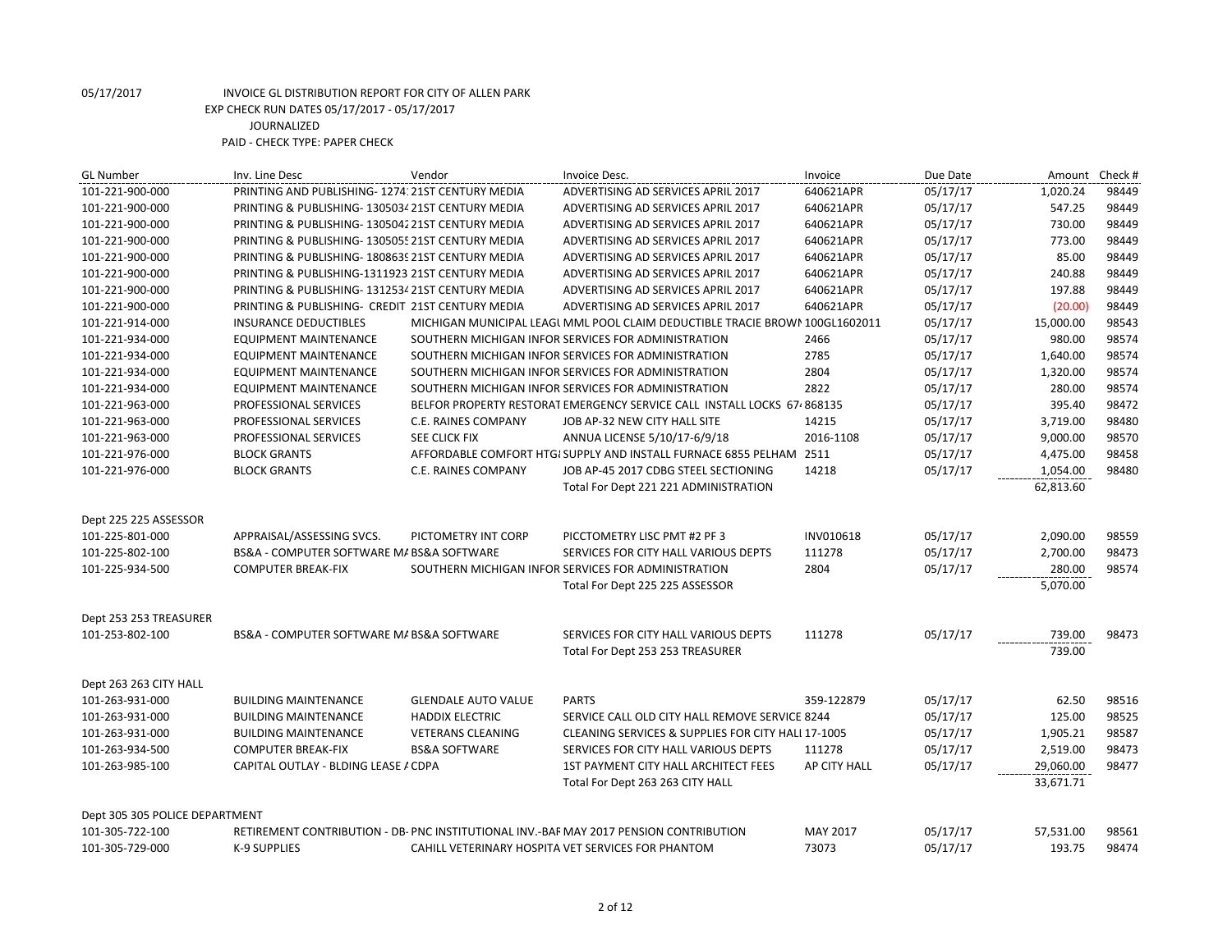| <b>GL Number</b>               | Inv. Line Desc                                    | Vendor                     | Invoice Desc.                                                                          | Invoice      | Due Date | Amount    | Check # |
|--------------------------------|---------------------------------------------------|----------------------------|----------------------------------------------------------------------------------------|--------------|----------|-----------|---------|
| 101-221-900-000                | PRINTING AND PUBLISHING-1274: 21ST CENTURY MEDIA  |                            | ADVERTISING AD SERVICES APRIL 2017                                                     | 640621APR    | 05/17/17 | 1,020.24  | 98449   |
| 101-221-900-000                | PRINTING & PUBLISHING-130503421ST CENTURY MEDIA   |                            | ADVERTISING AD SERVICES APRIL 2017                                                     | 640621APR    | 05/17/17 | 547.25    | 98449   |
| 101-221-900-000                | PRINTING & PUBLISHING-130504221ST CENTURY MEDIA   |                            | ADVERTISING AD SERVICES APRIL 2017                                                     | 640621APR    | 05/17/17 | 730.00    | 98449   |
| 101-221-900-000                | PRINTING & PUBLISHING- 1305055 21ST CENTURY MEDIA |                            | ADVERTISING AD SERVICES APRIL 2017                                                     | 640621APR    | 05/17/17 | 773.00    | 98449   |
| 101-221-900-000                | PRINTING & PUBLISHING-1808639 21ST CENTURY MEDIA  |                            | ADVERTISING AD SERVICES APRIL 2017                                                     | 640621APR    | 05/17/17 | 85.00     | 98449   |
| 101-221-900-000                | PRINTING & PUBLISHING-1311923 21ST CENTURY MEDIA  |                            | ADVERTISING AD SERVICES APRIL 2017                                                     | 640621APR    | 05/17/17 | 240.88    | 98449   |
| 101-221-900-000                | PRINTING & PUBLISHING-131253421ST CENTURY MEDIA   |                            | ADVERTISING AD SERVICES APRIL 2017                                                     | 640621APR    | 05/17/17 | 197.88    | 98449   |
| 101-221-900-000                | PRINTING & PUBLISHING- CREDIT 21ST CENTURY MEDIA  |                            | ADVERTISING AD SERVICES APRIL 2017                                                     | 640621APR    | 05/17/17 | (20.00)   | 98449   |
| 101-221-914-000                | <b>INSURANCE DEDUCTIBLES</b>                      |                            | MICHIGAN MUNICIPAL LEAGL MML POOL CLAIM DEDUCTIBLE TRACIE BROWN 100GL1602011           |              | 05/17/17 | 15,000.00 | 98543   |
| 101-221-934-000                | <b>EQUIPMENT MAINTENANCE</b>                      |                            | SOUTHERN MICHIGAN INFOR SERVICES FOR ADMINISTRATION                                    | 2466         | 05/17/17 | 980.00    | 98574   |
| 101-221-934-000                | <b>EQUIPMENT MAINTENANCE</b>                      |                            | SOUTHERN MICHIGAN INFOR SERVICES FOR ADMINISTRATION                                    | 2785         | 05/17/17 | 1,640.00  | 98574   |
| 101-221-934-000                | <b>EQUIPMENT MAINTENANCE</b>                      |                            | SOUTHERN MICHIGAN INFOR SERVICES FOR ADMINISTRATION                                    | 2804         | 05/17/17 | 1,320.00  | 98574   |
| 101-221-934-000                | <b>EQUIPMENT MAINTENANCE</b>                      |                            | SOUTHERN MICHIGAN INFOR SERVICES FOR ADMINISTRATION                                    | 2822         | 05/17/17 | 280.00    | 98574   |
| 101-221-963-000                | PROFESSIONAL SERVICES                             |                            | BELFOR PROPERTY RESTORAT EMERGENCY SERVICE CALL INSTALL LOCKS 67.868135                |              | 05/17/17 | 395.40    | 98472   |
| 101-221-963-000                | PROFESSIONAL SERVICES                             | C.E. RAINES COMPANY        | JOB AP-32 NEW CITY HALL SITE                                                           | 14215        | 05/17/17 | 3,719.00  | 98480   |
| 101-221-963-000                | PROFESSIONAL SERVICES                             | SEE CLICK FIX              | ANNUA LICENSE 5/10/17-6/9/18                                                           | 2016-1108    | 05/17/17 | 9,000.00  | 98570   |
| 101-221-976-000                | <b>BLOCK GRANTS</b>                               |                            | AFFORDABLE COMFORT HTGI SUPPLY AND INSTALL FURNACE 6855 PELHAM 2511                    |              | 05/17/17 | 4,475.00  | 98458   |
| 101-221-976-000                | <b>BLOCK GRANTS</b>                               | C.E. RAINES COMPANY        | JOB AP-45 2017 CDBG STEEL SECTIONING                                                   | 14218        | 05/17/17 | 1,054.00  | 98480   |
|                                |                                                   |                            | Total For Dept 221 221 ADMINISTRATION                                                  |              |          | 62,813.60 |         |
| Dept 225 225 ASSESSOR          |                                                   |                            |                                                                                        |              |          |           |         |
| 101-225-801-000                | APPRAISAL/ASSESSING SVCS.                         | PICTOMETRY INT CORP        | PICCTOMETRY LISC PMT #2 PF 3                                                           | INV010618    | 05/17/17 | 2,090.00  | 98559   |
| 101-225-802-100                | BS&A - COMPUTER SOFTWARE MA BS&A SOFTWARE         |                            | SERVICES FOR CITY HALL VARIOUS DEPTS                                                   | 111278       | 05/17/17 | 2,700.00  | 98473   |
| 101-225-934-500                | <b>COMPUTER BREAK-FIX</b>                         |                            | SOUTHERN MICHIGAN INFOR SERVICES FOR ADMINISTRATION                                    | 2804         | 05/17/17 | 280.00    | 98574   |
|                                |                                                   |                            | Total For Dept 225 225 ASSESSOR                                                        |              |          | 5,070.00  |         |
| Dept 253 253 TREASURER         |                                                   |                            |                                                                                        |              |          |           |         |
| 101-253-802-100                | BS&A - COMPUTER SOFTWARE M/ BS&A SOFTWARE         |                            | SERVICES FOR CITY HALL VARIOUS DEPTS                                                   | 111278       | 05/17/17 | 739.00    | 98473   |
|                                |                                                   |                            | Total For Dept 253 253 TREASURER                                                       |              |          | 739.00    |         |
| Dept 263 263 CITY HALL         |                                                   |                            |                                                                                        |              |          |           |         |
| 101-263-931-000                | <b>BUILDING MAINTENANCE</b>                       | <b>GLENDALE AUTO VALUE</b> | <b>PARTS</b>                                                                           | 359-122879   | 05/17/17 | 62.50     | 98516   |
| 101-263-931-000                | <b>BUILDING MAINTENANCE</b>                       | <b>HADDIX ELECTRIC</b>     | SERVICE CALL OLD CITY HALL REMOVE SERVICE 8244                                         |              | 05/17/17 | 125.00    | 98525   |
| 101-263-931-000                | <b>BUILDING MAINTENANCE</b>                       | <b>VETERANS CLEANING</b>   | CLEANING SERVICES & SUPPLIES FOR CITY HALL 17-1005                                     |              | 05/17/17 | 1,905.21  | 98587   |
| 101-263-934-500                | <b>COMPUTER BREAK-FIX</b>                         | <b>BS&amp;A SOFTWARE</b>   | SERVICES FOR CITY HALL VARIOUS DEPTS                                                   | 111278       | 05/17/17 | 2,519.00  | 98473   |
| 101-263-985-100                | CAPITAL OUTLAY - BLDING LEASE / CDPA              |                            | 1ST PAYMENT CITY HALL ARCHITECT FEES                                                   | AP CITY HALL | 05/17/17 | 29,060.00 | 98477   |
|                                |                                                   |                            | Total For Dept 263 263 CITY HALL                                                       |              |          | 33,671.71 |         |
| Dept 305 305 POLICE DEPARTMENT |                                                   |                            |                                                                                        |              |          |           |         |
| 101-305-722-100                |                                                   |                            | RETIREMENT CONTRIBUTION - DB- PNC INSTITUTIONAL INV.-BAF MAY 2017 PENSION CONTRIBUTION | MAY 2017     | 05/17/17 | 57,531.00 | 98561   |
| 101-305-729-000                | <b>K-9 SUPPLIES</b>                               |                            | CAHILL VETERINARY HOSPITA VET SERVICES FOR PHANTOM                                     | 73073        | 05/17/17 | 193.75    | 98474   |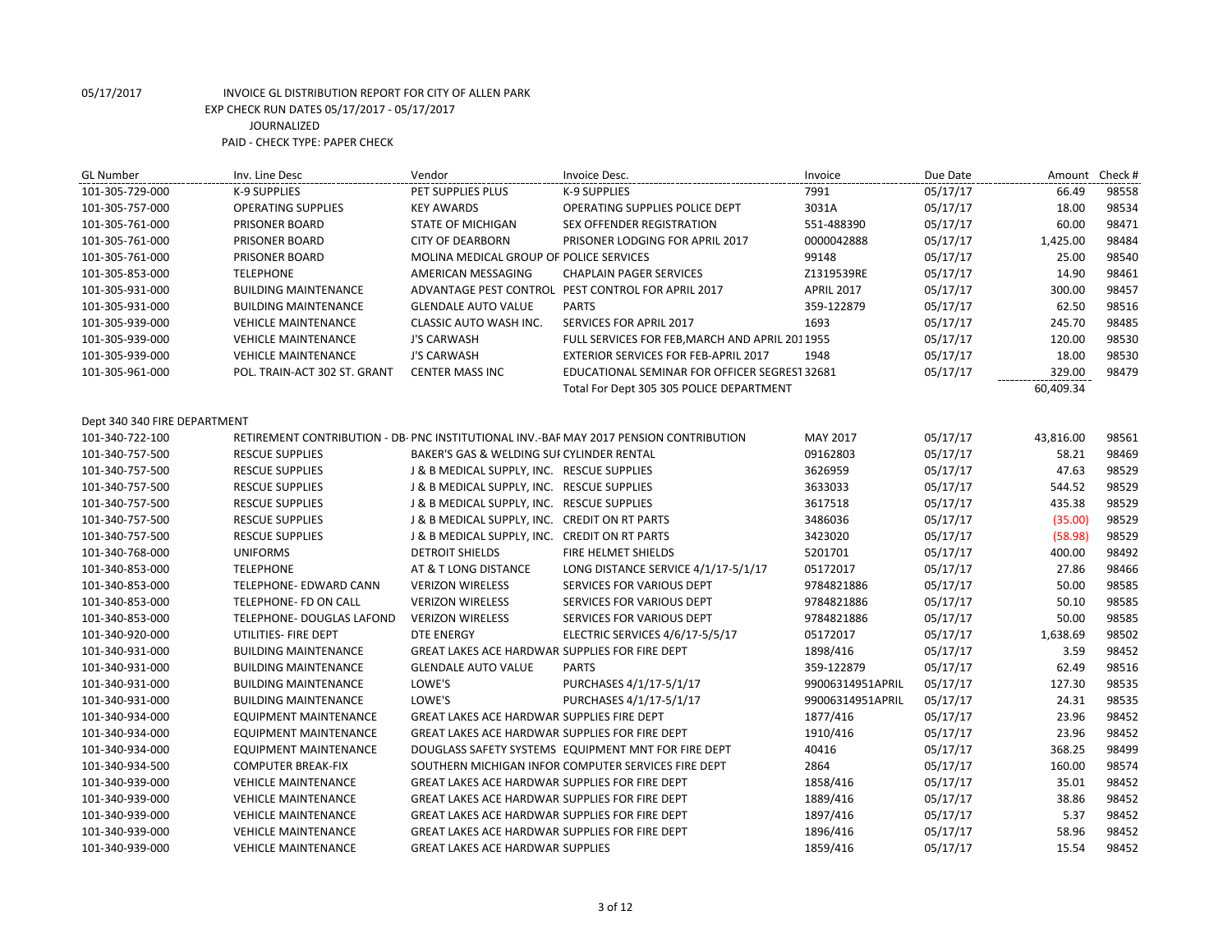| <b>GL Number</b>             | Inv. Line Desc               | Vendor                                                | Invoice Desc.                                                                          | Invoice           | Due Date | Amount Check # |       |
|------------------------------|------------------------------|-------------------------------------------------------|----------------------------------------------------------------------------------------|-------------------|----------|----------------|-------|
| 101-305-729-000              | K-9 SUPPLIES                 | PET SUPPLIES PLUS                                     | K-9 SUPPLIES                                                                           | 7991              | 05/17/17 | 66.49          | 98558 |
| 101-305-757-000              | <b>OPERATING SUPPLIES</b>    | <b>KEY AWARDS</b>                                     | OPERATING SUPPLIES POLICE DEPT                                                         | 3031A             | 05/17/17 | 18.00          | 98534 |
| 101-305-761-000              | PRISONER BOARD               | <b>STATE OF MICHIGAN</b>                              | SEX OFFENDER REGISTRATION                                                              | 551-488390        | 05/17/17 | 60.00          | 98471 |
| 101-305-761-000              | PRISONER BOARD               | <b>CITY OF DEARBORN</b>                               | PRISONER LODGING FOR APRIL 2017                                                        | 0000042888        | 05/17/17 | 1,425.00       | 98484 |
| 101-305-761-000              | PRISONER BOARD               | MOLINA MEDICAL GROUP OF POLICE SERVICES               |                                                                                        | 99148             | 05/17/17 | 25.00          | 98540 |
| 101-305-853-000              | <b>TELEPHONE</b>             | AMERICAN MESSAGING                                    | <b>CHAPLAIN PAGER SERVICES</b>                                                         | Z1319539RE        | 05/17/17 | 14.90          | 98461 |
| 101-305-931-000              | <b>BUILDING MAINTENANCE</b>  |                                                       | ADVANTAGE PEST CONTROL PEST CONTROL FOR APRIL 2017                                     | <b>APRIL 2017</b> | 05/17/17 | 300.00         | 98457 |
| 101-305-931-000              | <b>BUILDING MAINTENANCE</b>  | <b>GLENDALE AUTO VALUE</b>                            | <b>PARTS</b>                                                                           | 359-122879        | 05/17/17 | 62.50          | 98516 |
| 101-305-939-000              | <b>VEHICLE MAINTENANCE</b>   | CLASSIC AUTO WASH INC.                                | SERVICES FOR APRIL 2017                                                                | 1693              | 05/17/17 | 245.70         | 98485 |
| 101-305-939-000              | <b>VEHICLE MAINTENANCE</b>   | <b>J'S CARWASH</b>                                    | FULL SERVICES FOR FEB, MARCH AND APRIL 2011955                                         |                   | 05/17/17 | 120.00         | 98530 |
| 101-305-939-000              | <b>VEHICLE MAINTENANCE</b>   | <b>J'S CARWASH</b>                                    | EXTERIOR SERVICES FOR FEB-APRIL 2017                                                   | 1948              | 05/17/17 | 18.00          | 98530 |
| 101-305-961-000              | POL. TRAIN-ACT 302 ST. GRANT | <b>CENTER MASS INC</b>                                | EDUCATIONAL SEMINAR FOR OFFICER SEGREST 32681                                          |                   | 05/17/17 | 329.00         | 98479 |
|                              |                              |                                                       | Total For Dept 305 305 POLICE DEPARTMENT                                               |                   |          | 60,409.34      |       |
|                              |                              |                                                       |                                                                                        |                   |          |                |       |
| Dept 340 340 FIRE DEPARTMENT |                              |                                                       |                                                                                        |                   |          |                |       |
| 101-340-722-100              |                              |                                                       | RETIREMENT CONTRIBUTION - DB- PNC INSTITUTIONAL INV.-BAF MAY 2017 PENSION CONTRIBUTION | MAY 2017          | 05/17/17 | 43,816.00      | 98561 |
| 101-340-757-500              | <b>RESCUE SUPPLIES</b>       | BAKER'S GAS & WELDING SUI CYLINDER RENTAL             |                                                                                        | 09162803          | 05/17/17 | 58.21          | 98469 |
| 101-340-757-500              | <b>RESCUE SUPPLIES</b>       | J & B MEDICAL SUPPLY, INC. RESCUE SUPPLIES            |                                                                                        | 3626959           | 05/17/17 | 47.63          | 98529 |
| 101-340-757-500              | <b>RESCUE SUPPLIES</b>       | J & B MEDICAL SUPPLY, INC. RESCUE SUPPLIES            |                                                                                        | 3633033           | 05/17/17 | 544.52         | 98529 |
| 101-340-757-500              | <b>RESCUE SUPPLIES</b>       | J & B MEDICAL SUPPLY, INC. RESCUE SUPPLIES            |                                                                                        | 3617518           | 05/17/17 | 435.38         | 98529 |
| 101-340-757-500              | <b>RESCUE SUPPLIES</b>       | J & B MEDICAL SUPPLY, INC. CREDIT ON RT PARTS         |                                                                                        | 3486036           | 05/17/17 | (35.00)        | 98529 |
| 101-340-757-500              | <b>RESCUE SUPPLIES</b>       | J & B MEDICAL SUPPLY, INC. CREDIT ON RT PARTS         |                                                                                        | 3423020           | 05/17/17 | (58.98)        | 98529 |
| 101-340-768-000              | <b>UNIFORMS</b>              | <b>DETROIT SHIELDS</b>                                | FIRE HELMET SHIELDS                                                                    | 5201701           | 05/17/17 | 400.00         | 98492 |
| 101-340-853-000              | <b>TELEPHONE</b>             | AT & T LONG DISTANCE                                  | LONG DISTANCE SERVICE 4/1/17-5/1/17                                                    | 05172017          | 05/17/17 | 27.86          | 98466 |
| 101-340-853-000              | TELEPHONE- EDWARD CANN       | <b>VERIZON WIRELESS</b>                               | SERVICES FOR VARIOUS DEPT                                                              | 9784821886        | 05/17/17 | 50.00          | 98585 |
| 101-340-853-000              | TELEPHONE- FD ON CALL        | <b>VERIZON WIRELESS</b>                               | SERVICES FOR VARIOUS DEPT                                                              | 9784821886        | 05/17/17 | 50.10          | 98585 |
| 101-340-853-000              | TELEPHONE- DOUGLAS LAFOND    | <b>VERIZON WIRELESS</b>                               | SERVICES FOR VARIOUS DEPT                                                              | 9784821886        | 05/17/17 | 50.00          | 98585 |
| 101-340-920-000              | UTILITIES- FIRE DEPT         | <b>DTE ENERGY</b>                                     | ELECTRIC SERVICES 4/6/17-5/5/17                                                        | 05172017          | 05/17/17 | 1,638.69       | 98502 |
| 101-340-931-000              | <b>BUILDING MAINTENANCE</b>  | GREAT LAKES ACE HARDWAR SUPPLIES FOR FIRE DEPT        |                                                                                        | 1898/416          | 05/17/17 | 3.59           | 98452 |
| 101-340-931-000              | <b>BUILDING MAINTENANCE</b>  | <b>GLENDALE AUTO VALUE</b>                            | <b>PARTS</b>                                                                           | 359-122879        | 05/17/17 | 62.49          | 98516 |
| 101-340-931-000              | <b>BUILDING MAINTENANCE</b>  | LOWE'S                                                | PURCHASES 4/1/17-5/1/17                                                                | 99006314951APRIL  | 05/17/17 | 127.30         | 98535 |
| 101-340-931-000              | <b>BUILDING MAINTENANCE</b>  | LOWE'S                                                | PURCHASES 4/1/17-5/1/17                                                                | 99006314951APRIL  | 05/17/17 | 24.31          | 98535 |
| 101-340-934-000              | <b>EQUIPMENT MAINTENANCE</b> | <b>GREAT LAKES ACE HARDWAR SUPPLIES FIRE DEPT</b>     |                                                                                        | 1877/416          | 05/17/17 | 23.96          | 98452 |
| 101-340-934-000              | <b>EQUIPMENT MAINTENANCE</b> | GREAT LAKES ACE HARDWAR SUPPLIES FOR FIRE DEPT        |                                                                                        | 1910/416          | 05/17/17 | 23.96          | 98452 |
| 101-340-934-000              | EQUIPMENT MAINTENANCE        |                                                       | DOUGLASS SAFETY SYSTEMS EQUIPMENT MNT FOR FIRE DEPT                                    | 40416             | 05/17/17 | 368.25         | 98499 |
| 101-340-934-500              | <b>COMPUTER BREAK-FIX</b>    |                                                       | SOUTHERN MICHIGAN INFOR COMPUTER SERVICES FIRE DEPT                                    | 2864              | 05/17/17 | 160.00         | 98574 |
| 101-340-939-000              | <b>VEHICLE MAINTENANCE</b>   | <b>GREAT LAKES ACE HARDWAR SUPPLIES FOR FIRE DEPT</b> |                                                                                        | 1858/416          | 05/17/17 | 35.01          | 98452 |
| 101-340-939-000              | <b>VEHICLE MAINTENANCE</b>   | GREAT LAKES ACE HARDWAR SUPPLIES FOR FIRE DEPT        |                                                                                        | 1889/416          | 05/17/17 | 38.86          | 98452 |
| 101-340-939-000              | <b>VEHICLE MAINTENANCE</b>   | GREAT LAKES ACE HARDWAR SUPPLIES FOR FIRE DEPT        |                                                                                        | 1897/416          | 05/17/17 | 5.37           | 98452 |
| 101-340-939-000              | <b>VEHICLE MAINTENANCE</b>   | <b>GREAT LAKES ACE HARDWAR SUPPLIES FOR FIRE DEPT</b> |                                                                                        | 1896/416          | 05/17/17 | 58.96          | 98452 |
| 101-340-939-000              | <b>VEHICLE MAINTENANCE</b>   | <b>GREAT LAKES ACE HARDWAR SUPPLIES</b>               |                                                                                        | 1859/416          | 05/17/17 | 15.54          | 98452 |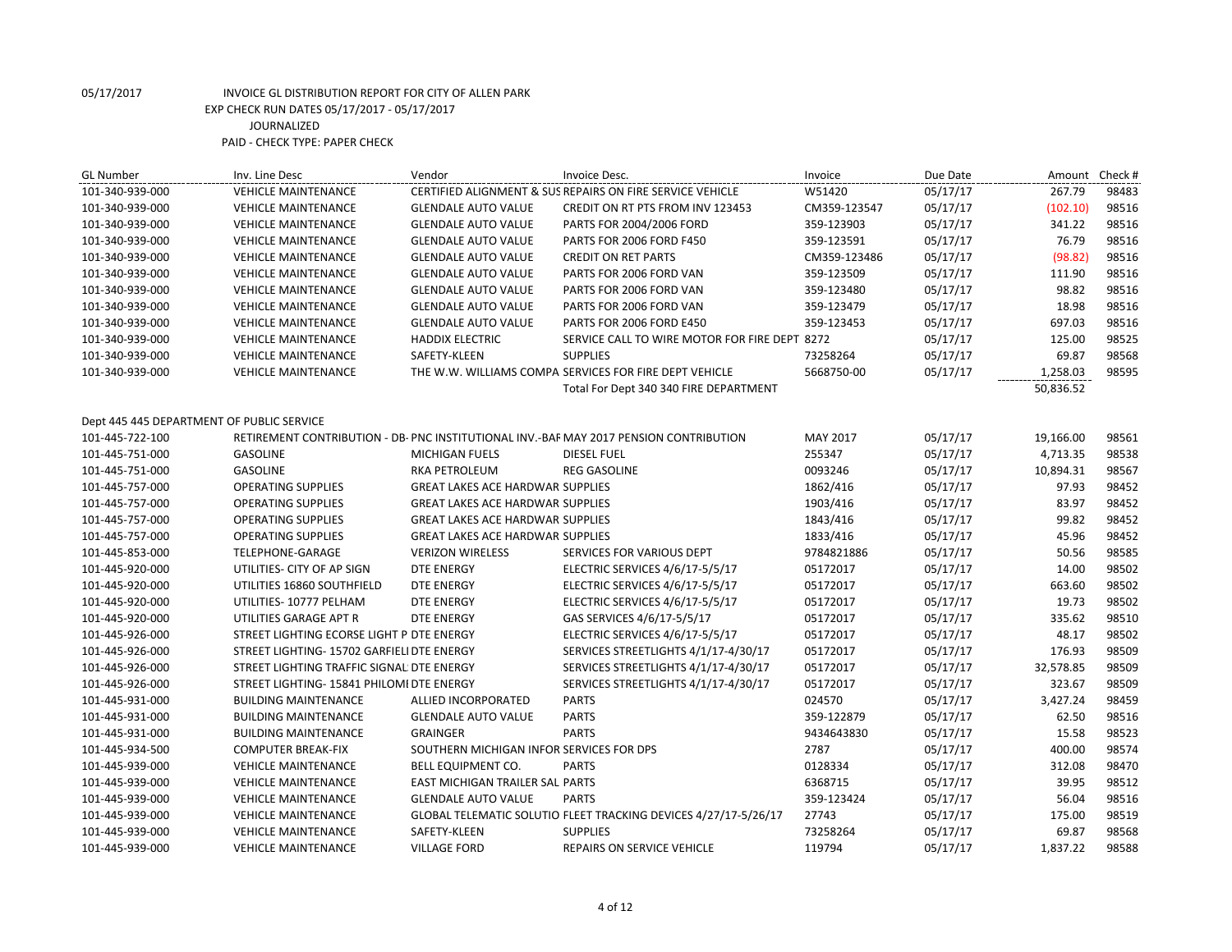| <b>GL Number</b>                          | Inv. Line Desc                             | Vendor                                   | Invoice Desc.                                                                          | Invoice      | Due Date | Amount Check # |       |
|-------------------------------------------|--------------------------------------------|------------------------------------------|----------------------------------------------------------------------------------------|--------------|----------|----------------|-------|
| 101-340-939-000                           | <b>VEHICLE MAINTENANCE</b>                 |                                          | CERTIFIED ALIGNMENT & SUS REPAIRS ON FIRE SERVICE VEHICLE                              | W51420       | 05/17/17 | 267.79         | 98483 |
| 101-340-939-000                           | <b>VEHICLE MAINTENANCE</b>                 | <b>GLENDALE AUTO VALUE</b>               | <b>CREDIT ON RT PTS FROM INV 123453</b>                                                | CM359-123547 | 05/17/17 | (102.10)       | 98516 |
| 101-340-939-000                           | <b>VEHICLE MAINTENANCE</b>                 | <b>GLENDALE AUTO VALUE</b>               | PARTS FOR 2004/2006 FORD                                                               | 359-123903   | 05/17/17 | 341.22         | 98516 |
| 101-340-939-000                           | <b>VEHICLE MAINTENANCE</b>                 | <b>GLENDALE AUTO VALUE</b>               | PARTS FOR 2006 FORD F450                                                               | 359-123591   | 05/17/17 | 76.79          | 98516 |
| 101-340-939-000                           | <b>VEHICLE MAINTENANCE</b>                 | <b>GLENDALE AUTO VALUE</b>               | <b>CREDIT ON RET PARTS</b>                                                             | CM359-123486 | 05/17/17 | (98.82)        | 98516 |
| 101-340-939-000                           | <b>VEHICLE MAINTENANCE</b>                 | <b>GLENDALE AUTO VALUE</b>               | PARTS FOR 2006 FORD VAN                                                                | 359-123509   | 05/17/17 | 111.90         | 98516 |
| 101-340-939-000                           | <b>VEHICLE MAINTENANCE</b>                 | <b>GLENDALE AUTO VALUE</b>               | PARTS FOR 2006 FORD VAN                                                                | 359-123480   | 05/17/17 | 98.82          | 98516 |
| 101-340-939-000                           | <b>VEHICLE MAINTENANCE</b>                 | <b>GLENDALE AUTO VALUE</b>               | PARTS FOR 2006 FORD VAN                                                                | 359-123479   | 05/17/17 | 18.98          | 98516 |
| 101-340-939-000                           | <b>VEHICLE MAINTENANCE</b>                 | <b>GLENDALE AUTO VALUE</b>               | PARTS FOR 2006 FORD E450                                                               | 359-123453   | 05/17/17 | 697.03         | 98516 |
| 101-340-939-000                           | <b>VEHICLE MAINTENANCE</b>                 | <b>HADDIX ELECTRIC</b>                   | SERVICE CALL TO WIRE MOTOR FOR FIRE DEPT 8272                                          |              | 05/17/17 | 125.00         | 98525 |
| 101-340-939-000                           | <b>VEHICLE MAINTENANCE</b>                 | SAFETY-KLEEN                             | <b>SUPPLIES</b>                                                                        | 73258264     | 05/17/17 | 69.87          | 98568 |
| 101-340-939-000                           | <b>VEHICLE MAINTENANCE</b>                 |                                          | THE W.W. WILLIAMS COMPA SERVICES FOR FIRE DEPT VEHICLE                                 | 5668750-00   | 05/17/17 | 1,258.03       | 98595 |
|                                           |                                            |                                          | Total For Dept 340 340 FIRE DEPARTMENT                                                 |              |          | 50,836.52      |       |
|                                           |                                            |                                          |                                                                                        |              |          |                |       |
| Dept 445 445 DEPARTMENT OF PUBLIC SERVICE |                                            |                                          |                                                                                        |              |          |                |       |
| 101-445-722-100                           |                                            |                                          | RETIREMENT CONTRIBUTION - DB- PNC INSTITUTIONAL INV.-BAF MAY 2017 PENSION CONTRIBUTION | MAY 2017     | 05/17/17 | 19,166.00      | 98561 |
| 101-445-751-000                           | <b>GASOLINE</b>                            | <b>MICHIGAN FUELS</b>                    | <b>DIESEL FUEL</b>                                                                     | 255347       | 05/17/17 | 4,713.35       | 98538 |
| 101-445-751-000                           | <b>GASOLINE</b>                            | <b>RKA PETROLEUM</b>                     | <b>REG GASOLINE</b>                                                                    | 0093246      | 05/17/17 | 10,894.31      | 98567 |
| 101-445-757-000                           | <b>OPERATING SUPPLIES</b>                  | <b>GREAT LAKES ACE HARDWAR SUPPLIES</b>  |                                                                                        | 1862/416     | 05/17/17 | 97.93          | 98452 |
| 101-445-757-000                           | <b>OPERATING SUPPLIES</b>                  | <b>GREAT LAKES ACE HARDWAR SUPPLIES</b>  |                                                                                        | 1903/416     | 05/17/17 | 83.97          | 98452 |
| 101-445-757-000                           | <b>OPERATING SUPPLIES</b>                  | <b>GREAT LAKES ACE HARDWAR SUPPLIES</b>  |                                                                                        | 1843/416     | 05/17/17 | 99.82          | 98452 |
| 101-445-757-000                           | <b>OPERATING SUPPLIES</b>                  | GREAT LAKES ACE HARDWAR SUPPLIES         |                                                                                        | 1833/416     | 05/17/17 | 45.96          | 98452 |
| 101-445-853-000                           | TELEPHONE-GARAGE                           | <b>VERIZON WIRELESS</b>                  | SERVICES FOR VARIOUS DEPT                                                              | 9784821886   | 05/17/17 | 50.56          | 98585 |
| 101-445-920-000                           | UTILITIES- CITY OF AP SIGN                 | <b>DTE ENERGY</b>                        | ELECTRIC SERVICES 4/6/17-5/5/17                                                        | 05172017     | 05/17/17 | 14.00          | 98502 |
| 101-445-920-000                           | UTILITIES 16860 SOUTHFIELD                 | <b>DTE ENERGY</b>                        | ELECTRIC SERVICES 4/6/17-5/5/17                                                        | 05172017     | 05/17/17 | 663.60         | 98502 |
| 101-445-920-000                           | UTILITIES-10777 PELHAM                     | <b>DTE ENERGY</b>                        | ELECTRIC SERVICES 4/6/17-5/5/17                                                        | 05172017     | 05/17/17 | 19.73          | 98502 |
| 101-445-920-000                           | UTILITIES GARAGE APT R                     | <b>DTE ENERGY</b>                        | GAS SERVICES 4/6/17-5/5/17                                                             | 05172017     | 05/17/17 | 335.62         | 98510 |
| 101-445-926-000                           | STREET LIGHTING ECORSE LIGHT P DTE ENERGY  |                                          | ELECTRIC SERVICES 4/6/17-5/5/17                                                        | 05172017     | 05/17/17 | 48.17          | 98502 |
| 101-445-926-000                           | STREET LIGHTING- 15702 GARFIELI DTE ENERGY |                                          | SERVICES STREETLIGHTS 4/1/17-4/30/17                                                   | 05172017     | 05/17/17 | 176.93         | 98509 |
| 101-445-926-000                           | STREET LIGHTING TRAFFIC SIGNAL DTE ENERGY  |                                          | SERVICES STREETLIGHTS 4/1/17-4/30/17                                                   | 05172017     | 05/17/17 | 32,578.85      | 98509 |
| 101-445-926-000                           | STREET LIGHTING- 15841 PHILOMI DTE ENERGY  |                                          | SERVICES STREETLIGHTS 4/1/17-4/30/17                                                   | 05172017     | 05/17/17 | 323.67         | 98509 |
| 101-445-931-000                           | <b>BUILDING MAINTENANCE</b>                | ALLIED INCORPORATED                      | <b>PARTS</b>                                                                           | 024570       | 05/17/17 | 3,427.24       | 98459 |
| 101-445-931-000                           | <b>BUILDING MAINTENANCE</b>                | <b>GLENDALE AUTO VALUE</b>               | <b>PARTS</b>                                                                           | 359-122879   | 05/17/17 | 62.50          | 98516 |
| 101-445-931-000                           | <b>BUILDING MAINTENANCE</b>                | <b>GRAINGER</b>                          | <b>PARTS</b>                                                                           | 9434643830   | 05/17/17 | 15.58          | 98523 |
| 101-445-934-500                           | <b>COMPUTER BREAK-FIX</b>                  | SOUTHERN MICHIGAN INFOR SERVICES FOR DPS |                                                                                        | 2787         | 05/17/17 | 400.00         | 98574 |
| 101-445-939-000                           | <b>VEHICLE MAINTENANCE</b>                 | BELL EQUIPMENT CO.                       | <b>PARTS</b>                                                                           | 0128334      | 05/17/17 | 312.08         | 98470 |
| 101-445-939-000                           | <b>VEHICLE MAINTENANCE</b>                 | EAST MICHIGAN TRAILER SAL PARTS          |                                                                                        | 6368715      | 05/17/17 | 39.95          | 98512 |
| 101-445-939-000                           | <b>VEHICLE MAINTENANCE</b>                 | <b>GLENDALE AUTO VALUE</b>               | <b>PARTS</b>                                                                           | 359-123424   | 05/17/17 | 56.04          | 98516 |
| 101-445-939-000                           | <b>VEHICLE MAINTENANCE</b>                 |                                          | GLOBAL TELEMATIC SOLUTIO FLEET TRACKING DEVICES 4/27/17-5/26/17                        | 27743        | 05/17/17 | 175.00         | 98519 |
| 101-445-939-000                           | <b>VEHICLE MAINTENANCE</b>                 | SAFETY-KLEEN                             | <b>SUPPLIES</b>                                                                        | 73258264     | 05/17/17 | 69.87          | 98568 |
| 101-445-939-000                           | <b>VEHICLE MAINTENANCE</b>                 | <b>VILLAGE FORD</b>                      | <b>REPAIRS ON SERVICE VEHICLE</b>                                                      | 119794       | 05/17/17 | 1,837.22       | 98588 |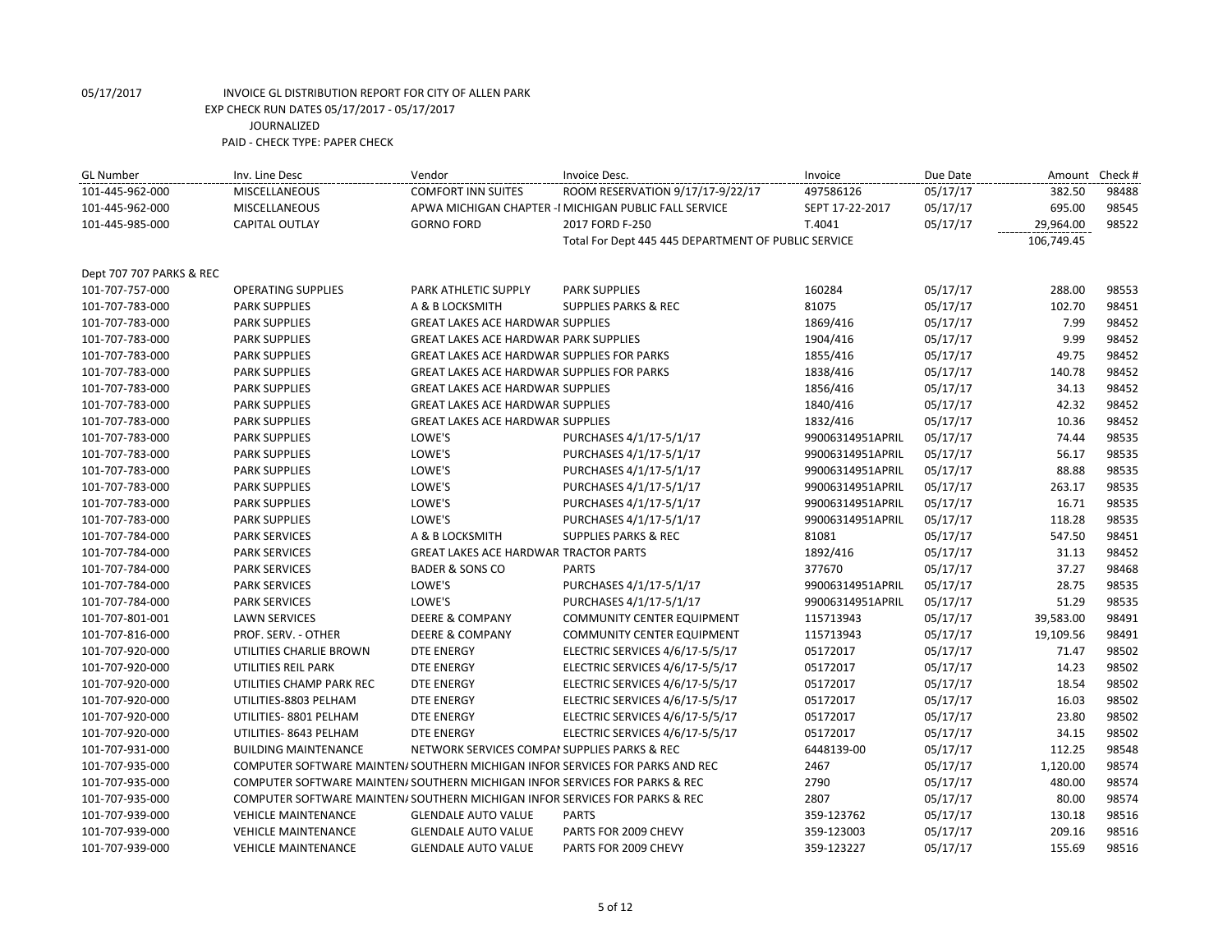| <b>GL Number</b>         | Inv. Line Desc                                                                | Vendor                                            | Invoice Desc.                                          | Invoice          | Due Date | Amount     | Check# |
|--------------------------|-------------------------------------------------------------------------------|---------------------------------------------------|--------------------------------------------------------|------------------|----------|------------|--------|
| 101-445-962-000          | <b>MISCELLANEOUS</b>                                                          | <b>COMFORT INN SUITES</b>                         | ROOM RESERVATION 9/17/17-9/22/17                       | 497586126        | 05/17/17 | 382.50     | 98488  |
| 101-445-962-000          | MISCELLANEOUS                                                                 |                                                   | APWA MICHIGAN CHAPTER - I MICHIGAN PUBLIC FALL SERVICE | SEPT 17-22-2017  | 05/17/17 | 695.00     | 98545  |
| 101-445-985-000          | <b>CAPITAL OUTLAY</b>                                                         | <b>GORNO FORD</b>                                 | 2017 FORD F-250                                        | T.4041           | 05/17/17 | 29,964.00  | 98522  |
|                          |                                                                               |                                                   | Total For Dept 445 445 DEPARTMENT OF PUBLIC SERVICE    |                  |          | 106,749.45 |        |
|                          |                                                                               |                                                   |                                                        |                  |          |            |        |
| Dept 707 707 PARKS & REC |                                                                               |                                                   |                                                        |                  |          |            |        |
| 101-707-757-000          | <b>OPERATING SUPPLIES</b>                                                     | PARK ATHLETIC SUPPLY                              | <b>PARK SUPPLIES</b>                                   | 160284           | 05/17/17 | 288.00     | 98553  |
| 101-707-783-000          | <b>PARK SUPPLIES</b>                                                          | A & B LOCKSMITH                                   | <b>SUPPLIES PARKS &amp; REC</b>                        | 81075            | 05/17/17 | 102.70     | 98451  |
| 101-707-783-000          | <b>PARK SUPPLIES</b>                                                          | <b>GREAT LAKES ACE HARDWAR SUPPLIES</b>           |                                                        | 1869/416         | 05/17/17 | 7.99       | 98452  |
| 101-707-783-000          | <b>PARK SUPPLIES</b>                                                          | <b>GREAT LAKES ACE HARDWAR PARK SUPPLIES</b>      |                                                        | 1904/416         | 05/17/17 | 9.99       | 98452  |
| 101-707-783-000          | <b>PARK SUPPLIES</b>                                                          | <b>GREAT LAKES ACE HARDWAR SUPPLIES FOR PARKS</b> |                                                        | 1855/416         | 05/17/17 | 49.75      | 98452  |
| 101-707-783-000          | <b>PARK SUPPLIES</b>                                                          | GREAT LAKES ACE HARDWAR SUPPLIES FOR PARKS        |                                                        | 1838/416         | 05/17/17 | 140.78     | 98452  |
| 101-707-783-000          | <b>PARK SUPPLIES</b>                                                          | <b>GREAT LAKES ACE HARDWAR SUPPLIES</b>           |                                                        | 1856/416         | 05/17/17 | 34.13      | 98452  |
| 101-707-783-000          | <b>PARK SUPPLIES</b>                                                          | <b>GREAT LAKES ACE HARDWAR SUPPLIES</b>           |                                                        | 1840/416         | 05/17/17 | 42.32      | 98452  |
| 101-707-783-000          | <b>PARK SUPPLIES</b>                                                          | <b>GREAT LAKES ACE HARDWAR SUPPLIES</b>           |                                                        | 1832/416         | 05/17/17 | 10.36      | 98452  |
| 101-707-783-000          | <b>PARK SUPPLIES</b>                                                          | LOWE'S                                            | PURCHASES 4/1/17-5/1/17                                | 99006314951APRIL | 05/17/17 | 74.44      | 98535  |
| 101-707-783-000          | <b>PARK SUPPLIES</b>                                                          | LOWE'S                                            | PURCHASES 4/1/17-5/1/17                                | 99006314951APRIL | 05/17/17 | 56.17      | 98535  |
| 101-707-783-000          | <b>PARK SUPPLIES</b>                                                          | LOWE'S                                            | PURCHASES 4/1/17-5/1/17                                | 99006314951APRIL | 05/17/17 | 88.88      | 98535  |
| 101-707-783-000          | <b>PARK SUPPLIES</b>                                                          | LOWE'S                                            | PURCHASES 4/1/17-5/1/17                                | 99006314951APRIL | 05/17/17 | 263.17     | 98535  |
| 101-707-783-000          | <b>PARK SUPPLIES</b>                                                          | LOWE'S                                            | PURCHASES 4/1/17-5/1/17                                | 99006314951APRIL | 05/17/17 | 16.71      | 98535  |
| 101-707-783-000          | <b>PARK SUPPLIES</b>                                                          | LOWE'S                                            | PURCHASES 4/1/17-5/1/17                                | 99006314951APRIL | 05/17/17 | 118.28     | 98535  |
| 101-707-784-000          | <b>PARK SERVICES</b>                                                          | A & B LOCKSMITH                                   | <b>SUPPLIES PARKS &amp; REC</b>                        | 81081            | 05/17/17 | 547.50     | 98451  |
| 101-707-784-000          | <b>PARK SERVICES</b>                                                          | <b>GREAT LAKES ACE HARDWAR TRACTOR PARTS</b>      |                                                        | 1892/416         | 05/17/17 | 31.13      | 98452  |
| 101-707-784-000          | <b>PARK SERVICES</b>                                                          | <b>BADER &amp; SONS CO</b>                        | <b>PARTS</b>                                           | 377670           | 05/17/17 | 37.27      | 98468  |
| 101-707-784-000          | <b>PARK SERVICES</b>                                                          | LOWE'S                                            | PURCHASES 4/1/17-5/1/17                                | 99006314951APRIL | 05/17/17 | 28.75      | 98535  |
| 101-707-784-000          | <b>PARK SERVICES</b>                                                          | LOWE'S                                            | PURCHASES 4/1/17-5/1/17                                | 99006314951APRIL | 05/17/17 | 51.29      | 98535  |
| 101-707-801-001          | <b>LAWN SERVICES</b>                                                          | <b>DEERE &amp; COMPANY</b>                        | <b>COMMUNITY CENTER EQUIPMENT</b>                      | 115713943        | 05/17/17 | 39,583.00  | 98491  |
| 101-707-816-000          | PROF. SERV. - OTHER                                                           | <b>DEERE &amp; COMPANY</b>                        | <b>COMMUNITY CENTER EQUIPMENT</b>                      | 115713943        | 05/17/17 | 19,109.56  | 98491  |
| 101-707-920-000          | UTILITIES CHARLIE BROWN                                                       | <b>DTE ENERGY</b>                                 | ELECTRIC SERVICES 4/6/17-5/5/17                        | 05172017         | 05/17/17 | 71.47      | 98502  |
| 101-707-920-000          | UTILITIES REIL PARK                                                           | <b>DTE ENERGY</b>                                 | ELECTRIC SERVICES 4/6/17-5/5/17                        | 05172017         | 05/17/17 | 14.23      | 98502  |
| 101-707-920-000          | UTILITIES CHAMP PARK REC                                                      | DTE ENERGY                                        | ELECTRIC SERVICES 4/6/17-5/5/17                        | 05172017         | 05/17/17 | 18.54      | 98502  |
| 101-707-920-000          | UTILITIES-8803 PELHAM                                                         | <b>DTE ENERGY</b>                                 | ELECTRIC SERVICES 4/6/17-5/5/17                        | 05172017         | 05/17/17 | 16.03      | 98502  |
| 101-707-920-000          | UTILITIES-8801 PELHAM                                                         | <b>DTE ENERGY</b>                                 | ELECTRIC SERVICES 4/6/17-5/5/17                        | 05172017         | 05/17/17 | 23.80      | 98502  |
| 101-707-920-000          | UTILITIES-8643 PELHAM                                                         | <b>DTE ENERGY</b>                                 | ELECTRIC SERVICES 4/6/17-5/5/17                        | 05172017         | 05/17/17 | 34.15      | 98502  |
| 101-707-931-000          | <b>BUILDING MAINTENANCE</b>                                                   | NETWORK SERVICES COMPAI SUPPLIES PARKS & REC      |                                                        | 6448139-00       | 05/17/17 | 112.25     | 98548  |
| 101-707-935-000          | COMPUTER SOFTWARE MAINTEN/ SOUTHERN MICHIGAN INFOR SERVICES FOR PARKS AND REC |                                                   |                                                        | 2467             | 05/17/17 | 1,120.00   | 98574  |
| 101-707-935-000          | COMPUTER SOFTWARE MAINTEN/ SOUTHERN MICHIGAN INFOR SERVICES FOR PARKS & REC   |                                                   |                                                        | 2790             | 05/17/17 | 480.00     | 98574  |
| 101-707-935-000          | COMPUTER SOFTWARE MAINTEN/ SOUTHERN MICHIGAN INFOR SERVICES FOR PARKS & REC   |                                                   |                                                        | 2807             | 05/17/17 | 80.00      | 98574  |
| 101-707-939-000          | <b>VEHICLE MAINTENANCE</b>                                                    | <b>GLENDALE AUTO VALUE</b>                        | <b>PARTS</b>                                           | 359-123762       | 05/17/17 | 130.18     | 98516  |
| 101-707-939-000          | <b>VEHICLE MAINTENANCE</b>                                                    | <b>GLENDALE AUTO VALUE</b>                        | PARTS FOR 2009 CHEVY                                   | 359-123003       | 05/17/17 | 209.16     | 98516  |
| 101-707-939-000          | <b>VEHICLE MAINTENANCE</b>                                                    | <b>GLENDALE AUTO VALUE</b>                        | PARTS FOR 2009 CHEVY                                   | 359-123227       | 05/17/17 | 155.69     | 98516  |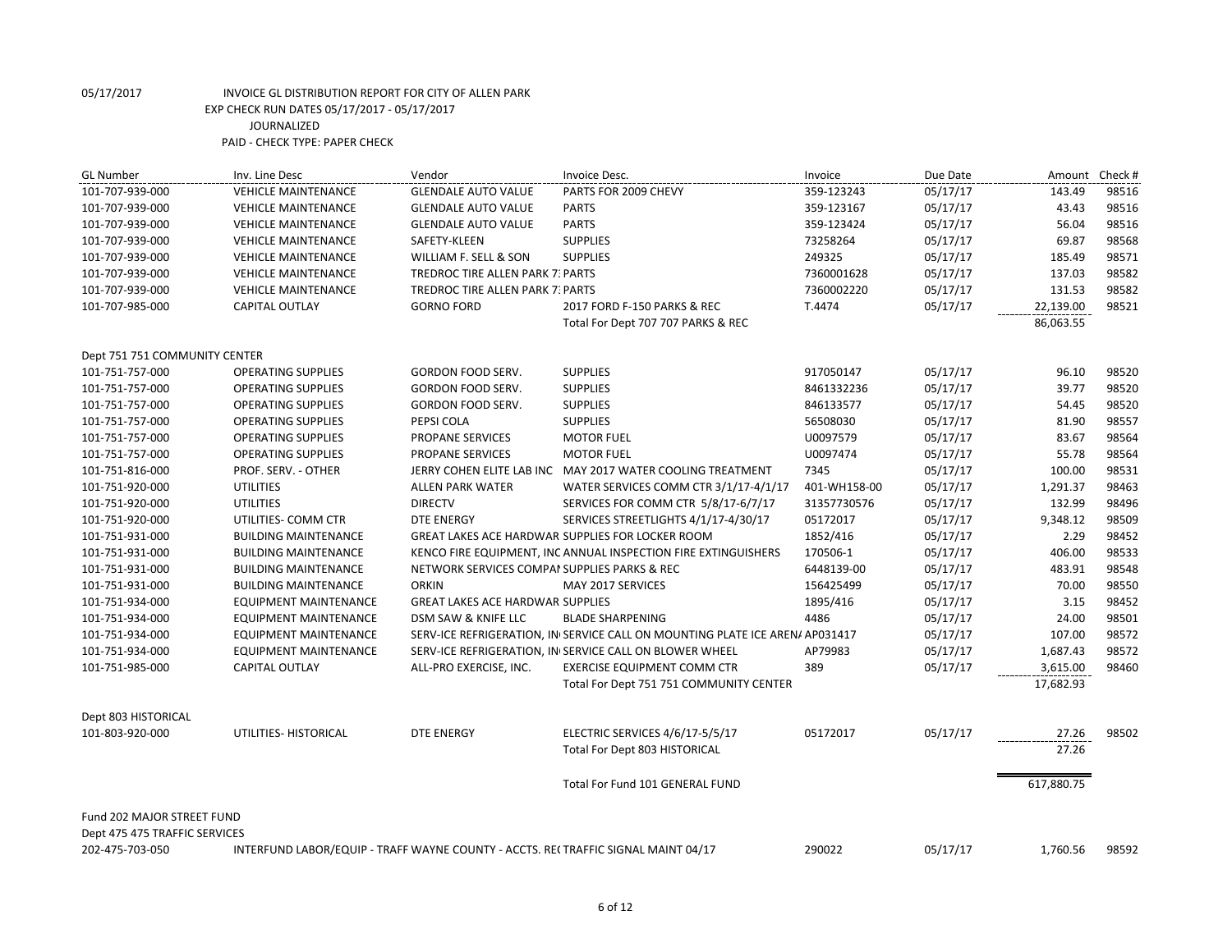| <b>GL Number</b>              | Inv. Line Desc                                                                    | Vendor                                       | Invoice Desc.                                                                | Invoice      | Due Date | Amount     | Check # |
|-------------------------------|-----------------------------------------------------------------------------------|----------------------------------------------|------------------------------------------------------------------------------|--------------|----------|------------|---------|
| 101-707-939-000               | <b>VEHICLE MAINTENANCE</b>                                                        | <b>GLENDALE AUTO VALUE</b>                   | PARTS FOR 2009 CHEVY                                                         | 359-123243   | 05/17/17 | 143.49     | 98516   |
| 101-707-939-000               | <b>VEHICLE MAINTENANCE</b>                                                        | <b>GLENDALE AUTO VALUE</b>                   | <b>PARTS</b>                                                                 | 359-123167   | 05/17/17 | 43.43      | 98516   |
| 101-707-939-000               | <b>VEHICLE MAINTENANCE</b>                                                        | <b>GLENDALE AUTO VALUE</b>                   | <b>PARTS</b>                                                                 | 359-123424   | 05/17/17 | 56.04      | 98516   |
| 101-707-939-000               | <b>VEHICLE MAINTENANCE</b>                                                        | SAFETY-KLEEN                                 | <b>SUPPLIES</b>                                                              | 73258264     | 05/17/17 | 69.87      | 98568   |
| 101-707-939-000               | <b>VEHICLE MAINTENANCE</b>                                                        | WILLIAM F. SELL & SON                        | <b>SUPPLIES</b>                                                              | 249325       | 05/17/17 | 185.49     | 98571   |
| 101-707-939-000               | <b>VEHICLE MAINTENANCE</b>                                                        | <b>TREDROC TIRE ALLEN PARK 7: PARTS</b>      |                                                                              | 7360001628   | 05/17/17 | 137.03     | 98582   |
| 101-707-939-000               | <b>VEHICLE MAINTENANCE</b>                                                        | <b>TREDROC TIRE ALLEN PARK 7: PARTS</b>      |                                                                              | 7360002220   | 05/17/17 | 131.53     | 98582   |
| 101-707-985-000               | <b>CAPITAL OUTLAY</b>                                                             | <b>GORNO FORD</b>                            | 2017 FORD F-150 PARKS & REC                                                  | T.4474       | 05/17/17 | 22,139.00  | 98521   |
|                               |                                                                                   |                                              | Total For Dept 707 707 PARKS & REC                                           |              |          | 86,063.55  |         |
| Dept 751 751 COMMUNITY CENTER |                                                                                   |                                              |                                                                              |              |          |            |         |
| 101-751-757-000               | <b>OPERATING SUPPLIES</b>                                                         | GORDON FOOD SERV.                            | <b>SUPPLIES</b>                                                              | 917050147    | 05/17/17 | 96.10      | 98520   |
| 101-751-757-000               | <b>OPERATING SUPPLIES</b>                                                         | GORDON FOOD SERV.                            | <b>SUPPLIES</b>                                                              | 8461332236   | 05/17/17 | 39.77      | 98520   |
| 101-751-757-000               | <b>OPERATING SUPPLIES</b>                                                         | GORDON FOOD SERV.                            | <b>SUPPLIES</b>                                                              | 846133577    | 05/17/17 | 54.45      | 98520   |
| 101-751-757-000               | <b>OPERATING SUPPLIES</b>                                                         | PEPSI COLA                                   | <b>SUPPLIES</b>                                                              | 56508030     | 05/17/17 | 81.90      | 98557   |
| 101-751-757-000               | <b>OPERATING SUPPLIES</b>                                                         | PROPANE SERVICES                             | <b>MOTOR FUEL</b>                                                            | U0097579     | 05/17/17 | 83.67      | 98564   |
| 101-751-757-000               | <b>OPERATING SUPPLIES</b>                                                         | PROPANE SERVICES                             | <b>MOTOR FUEL</b>                                                            | U0097474     | 05/17/17 | 55.78      | 98564   |
| 101-751-816-000               | PROF. SERV. - OTHER                                                               |                                              | JERRY COHEN ELITE LAB INC MAY 2017 WATER COOLING TREATMENT                   | 7345         | 05/17/17 | 100.00     | 98531   |
| 101-751-920-000               | <b>UTILITIES</b>                                                                  | <b>ALLEN PARK WATER</b>                      | WATER SERVICES COMM CTR 3/1/17-4/1/17                                        | 401-WH158-00 | 05/17/17 | 1,291.37   | 98463   |
| 101-751-920-000               | <b>UTILITIES</b>                                                                  | <b>DIRECTV</b>                               | SERVICES FOR COMM CTR 5/8/17-6/7/17                                          | 31357730576  | 05/17/17 | 132.99     | 98496   |
| 101-751-920-000               | UTILITIES- COMM CTR                                                               | <b>DTE ENERGY</b>                            | SERVICES STREETLIGHTS 4/1/17-4/30/17                                         | 05172017     | 05/17/17 | 9,348.12   | 98509   |
| 101-751-931-000               | <b>BUILDING MAINTENANCE</b>                                                       |                                              | <b>GREAT LAKES ACE HARDWAR SUPPLIES FOR LOCKER ROOM</b>                      | 1852/416     | 05/17/17 | 2.29       | 98452   |
| 101-751-931-000               | <b>BUILDING MAINTENANCE</b>                                                       |                                              | KENCO FIRE EQUIPMENT, INC ANNUAL INSPECTION FIRE EXTINGUISHERS               | 170506-1     | 05/17/17 | 406.00     | 98533   |
| 101-751-931-000               | <b>BUILDING MAINTENANCE</b>                                                       | NETWORK SERVICES COMPAI SUPPLIES PARKS & REC |                                                                              | 6448139-00   | 05/17/17 | 483.91     | 98548   |
| 101-751-931-000               | <b>BUILDING MAINTENANCE</b>                                                       | <b>ORKIN</b>                                 | MAY 2017 SERVICES                                                            | 156425499    | 05/17/17 | 70.00      | 98550   |
| 101-751-934-000               | <b>EQUIPMENT MAINTENANCE</b>                                                      | <b>GREAT LAKES ACE HARDWAR SUPPLIES</b>      |                                                                              | 1895/416     | 05/17/17 | 3.15       | 98452   |
| 101-751-934-000               | EQUIPMENT MAINTENANCE                                                             | DSM SAW & KNIFE LLC                          | <b>BLADE SHARPENING</b>                                                      | 4486         | 05/17/17 | 24.00      | 98501   |
| 101-751-934-000               | <b>EQUIPMENT MAINTENANCE</b>                                                      |                                              | SERV-ICE REFRIGERATION, IN SERVICE CALL ON MOUNTING PLATE ICE AREN/ AP031417 |              | 05/17/17 | 107.00     | 98572   |
| 101-751-934-000               | <b>EQUIPMENT MAINTENANCE</b>                                                      |                                              | SERV-ICE REFRIGERATION, IN SERVICE CALL ON BLOWER WHEEL                      | AP79983      | 05/17/17 | 1,687.43   | 98572   |
| 101-751-985-000               | <b>CAPITAL OUTLAY</b>                                                             | ALL-PRO EXERCISE, INC.                       | <b>EXERCISE EQUIPMENT COMM CTR</b>                                           | 389          | 05/17/17 | 3,615.00   | 98460   |
|                               |                                                                                   |                                              | Total For Dept 751 751 COMMUNITY CENTER                                      |              |          | 17,682.93  |         |
| Dept 803 HISTORICAL           |                                                                                   |                                              |                                                                              |              |          |            |         |
| 101-803-920-000               | UTILITIES- HISTORICAL                                                             | <b>DTE ENERGY</b>                            | ELECTRIC SERVICES 4/6/17-5/5/17                                              | 05172017     | 05/17/17 | 27.26      | 98502   |
|                               |                                                                                   |                                              | Total For Dept 803 HISTORICAL                                                |              |          | 27.26      |         |
|                               |                                                                                   |                                              |                                                                              |              |          |            |         |
|                               |                                                                                   |                                              | <b>Total For Fund 101 GENERAL FUND</b>                                       |              |          | 617,880.75 |         |
| Fund 202 MAJOR STREET FUND    |                                                                                   |                                              |                                                                              |              |          |            |         |
| Dept 475 475 TRAFFIC SERVICES |                                                                                   |                                              |                                                                              |              |          |            |         |
| 202-475-703-050               | INTERFUND LABOR/EQUIP - TRAFF WAYNE COUNTY - ACCTS. RECTRAFFIC SIGNAL MAINT 04/17 |                                              |                                                                              | 290022       | 05/17/17 | 1,760.56   | 98592   |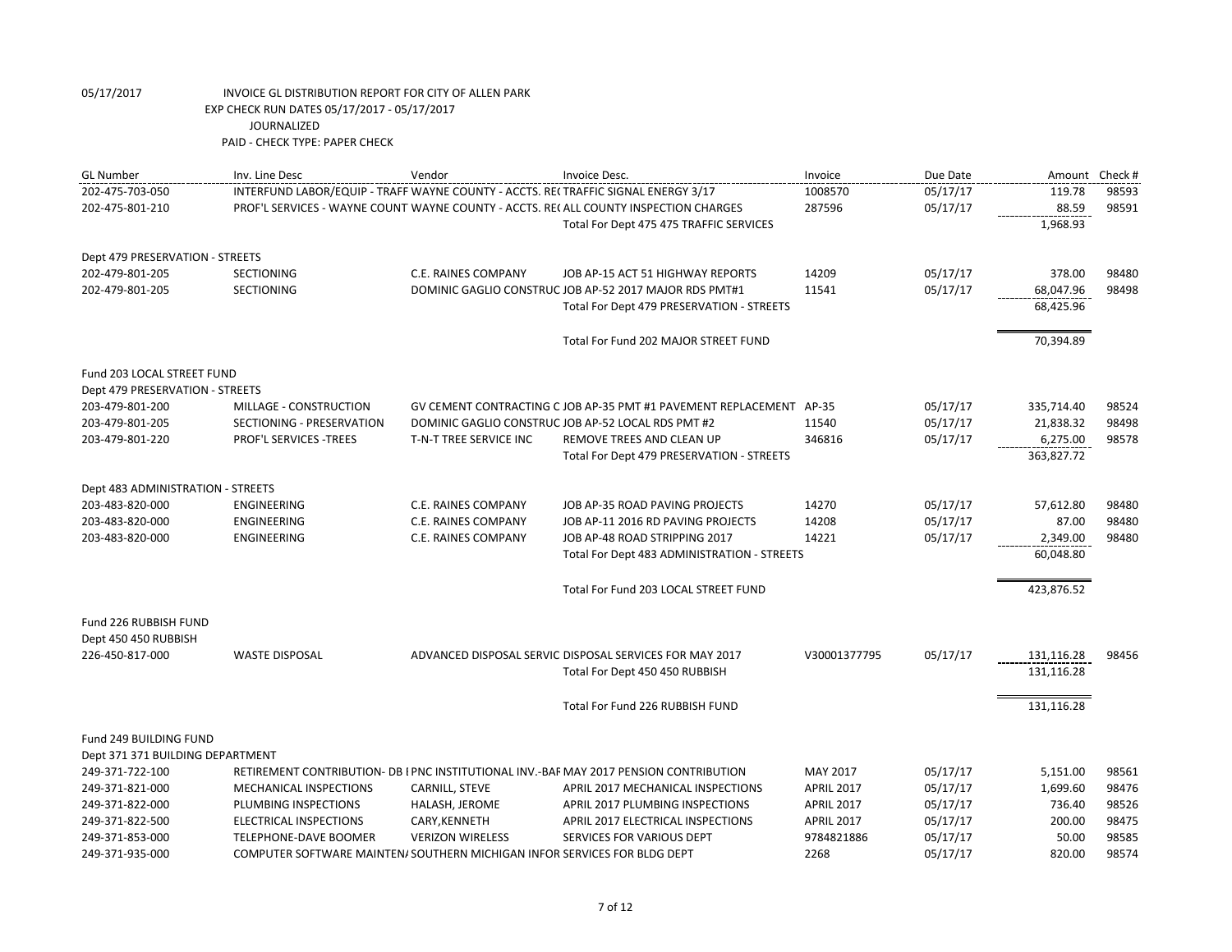| <b>GL Number</b>                  | Inv. Line Desc                                                                    | Vendor                  | Invoice Desc.                                                                          | Invoice           | Due Date | Amount Check # |       |
|-----------------------------------|-----------------------------------------------------------------------------------|-------------------------|----------------------------------------------------------------------------------------|-------------------|----------|----------------|-------|
| 202-475-703-050                   | INTERFUND LABOR/EQUIP - TRAFF WAYNE COUNTY - ACCTS. RECTRAFFIC SIGNAL ENERGY 3/17 |                         |                                                                                        | 1008570           | 05/17/17 | 119.78         | 98593 |
| 202-475-801-210                   |                                                                                   |                         | PROF'L SERVICES - WAYNE COUNT WAYNE COUNTY - ACCTS. RE( ALL COUNTY INSPECTION CHARGES  | 287596            | 05/17/17 | 88.59          | 98591 |
|                                   |                                                                                   |                         | Total For Dept 475 475 TRAFFIC SERVICES                                                |                   |          | 1,968.93       |       |
| Dept 479 PRESERVATION - STREETS   |                                                                                   |                         |                                                                                        |                   |          |                |       |
| 202-479-801-205                   | <b>SECTIONING</b>                                                                 | C.E. RAINES COMPANY     | JOB AP-15 ACT 51 HIGHWAY REPORTS                                                       | 14209             | 05/17/17 | 378.00         | 98480 |
| 202-479-801-205                   | <b>SECTIONING</b>                                                                 |                         | DOMINIC GAGLIO CONSTRUC JOB AP-52 2017 MAJOR RDS PMT#1                                 | 11541             | 05/17/17 | 68,047.96      | 98498 |
|                                   |                                                                                   |                         | Total For Dept 479 PRESERVATION - STREETS                                              |                   |          | 68,425.96      |       |
|                                   |                                                                                   |                         | Total For Fund 202 MAJOR STREET FUND                                                   |                   |          | 70,394.89      |       |
| Fund 203 LOCAL STREET FUND        |                                                                                   |                         |                                                                                        |                   |          |                |       |
| Dept 479 PRESERVATION - STREETS   |                                                                                   |                         |                                                                                        |                   |          |                |       |
| 203-479-801-200                   | MILLAGE - CONSTRUCTION                                                            |                         | GV CEMENT CONTRACTING C JOB AP-35 PMT #1 PAVEMENT REPLACEMENT AP-35                    |                   | 05/17/17 | 335,714.40     | 98524 |
| 203-479-801-205                   | SECTIONING - PRESERVATION                                                         |                         | DOMINIC GAGLIO CONSTRUC JOB AP-52 LOCAL RDS PMT #2                                     | 11540             | 05/17/17 | 21,838.32      | 98498 |
| 203-479-801-220                   | PROF'L SERVICES - TREES                                                           | T-N-T TREE SERVICE INC  | REMOVE TREES AND CLEAN UP                                                              | 346816            | 05/17/17 | 6,275.00       | 98578 |
|                                   |                                                                                   |                         | Total For Dept 479 PRESERVATION - STREETS                                              |                   |          | 363,827.72     |       |
| Dept 483 ADMINISTRATION - STREETS |                                                                                   |                         |                                                                                        |                   |          |                |       |
| 203-483-820-000                   | ENGINEERING                                                                       | C.E. RAINES COMPANY     | JOB AP-35 ROAD PAVING PROJECTS                                                         | 14270             | 05/17/17 | 57,612.80      | 98480 |
| 203-483-820-000                   | <b>ENGINEERING</b>                                                                | C.E. RAINES COMPANY     | JOB AP-11 2016 RD PAVING PROJECTS                                                      | 14208             | 05/17/17 | 87.00          | 98480 |
| 203-483-820-000                   | ENGINEERING                                                                       | C.E. RAINES COMPANY     | JOB AP-48 ROAD STRIPPING 2017                                                          | 14221             | 05/17/17 | 2,349.00       | 98480 |
|                                   |                                                                                   |                         | Total For Dept 483 ADMINISTRATION - STREETS                                            |                   |          | 60,048.80      |       |
|                                   |                                                                                   |                         | Total For Fund 203 LOCAL STREET FUND                                                   |                   |          | 423,876.52     |       |
| Fund 226 RUBBISH FUND             |                                                                                   |                         |                                                                                        |                   |          |                |       |
| Dept 450 450 RUBBISH              |                                                                                   |                         |                                                                                        |                   |          |                |       |
| 226-450-817-000                   | <b>WASTE DISPOSAL</b>                                                             |                         | ADVANCED DISPOSAL SERVIC DISPOSAL SERVICES FOR MAY 2017                                | V30001377795      | 05/17/17 | 131,116.28     | 98456 |
|                                   |                                                                                   |                         | Total For Dept 450 450 RUBBISH                                                         |                   |          | 131,116.28     |       |
|                                   |                                                                                   |                         | Total For Fund 226 RUBBISH FUND                                                        |                   |          | 131,116.28     |       |
| Fund 249 BUILDING FUND            |                                                                                   |                         |                                                                                        |                   |          |                |       |
| Dept 371 371 BUILDING DEPARTMENT  |                                                                                   |                         |                                                                                        |                   |          |                |       |
| 249-371-722-100                   |                                                                                   |                         | RETIREMENT CONTRIBUTION- DB I PNC INSTITUTIONAL INV.-BAF MAY 2017 PENSION CONTRIBUTION | MAY 2017          | 05/17/17 | 5,151.00       | 98561 |
| 249-371-821-000                   | MECHANICAL INSPECTIONS                                                            | CARNILL, STEVE          | APRIL 2017 MECHANICAL INSPECTIONS                                                      | <b>APRIL 2017</b> | 05/17/17 | 1,699.60       | 98476 |
| 249-371-822-000                   | PLUMBING INSPECTIONS                                                              | HALASH, JEROME          | APRIL 2017 PLUMBING INSPECTIONS                                                        | <b>APRIL 2017</b> | 05/17/17 | 736.40         | 98526 |
| 249-371-822-500                   | ELECTRICAL INSPECTIONS                                                            | CARY, KENNETH           | APRIL 2017 ELECTRICAL INSPECTIONS                                                      | <b>APRIL 2017</b> | 05/17/17 | 200.00         | 98475 |
| 249-371-853-000                   | TELEPHONE-DAVE BOOMER                                                             | <b>VERIZON WIRELESS</b> | SERVICES FOR VARIOUS DEPT                                                              | 9784821886        | 05/17/17 | 50.00          | 98585 |
| 249-371-935-000                   | COMPUTER SOFTWARE MAINTEN/ SOUTHERN MICHIGAN INFOR SERVICES FOR BLDG DEPT         |                         |                                                                                        | 2268              | 05/17/17 | 820.00         | 98574 |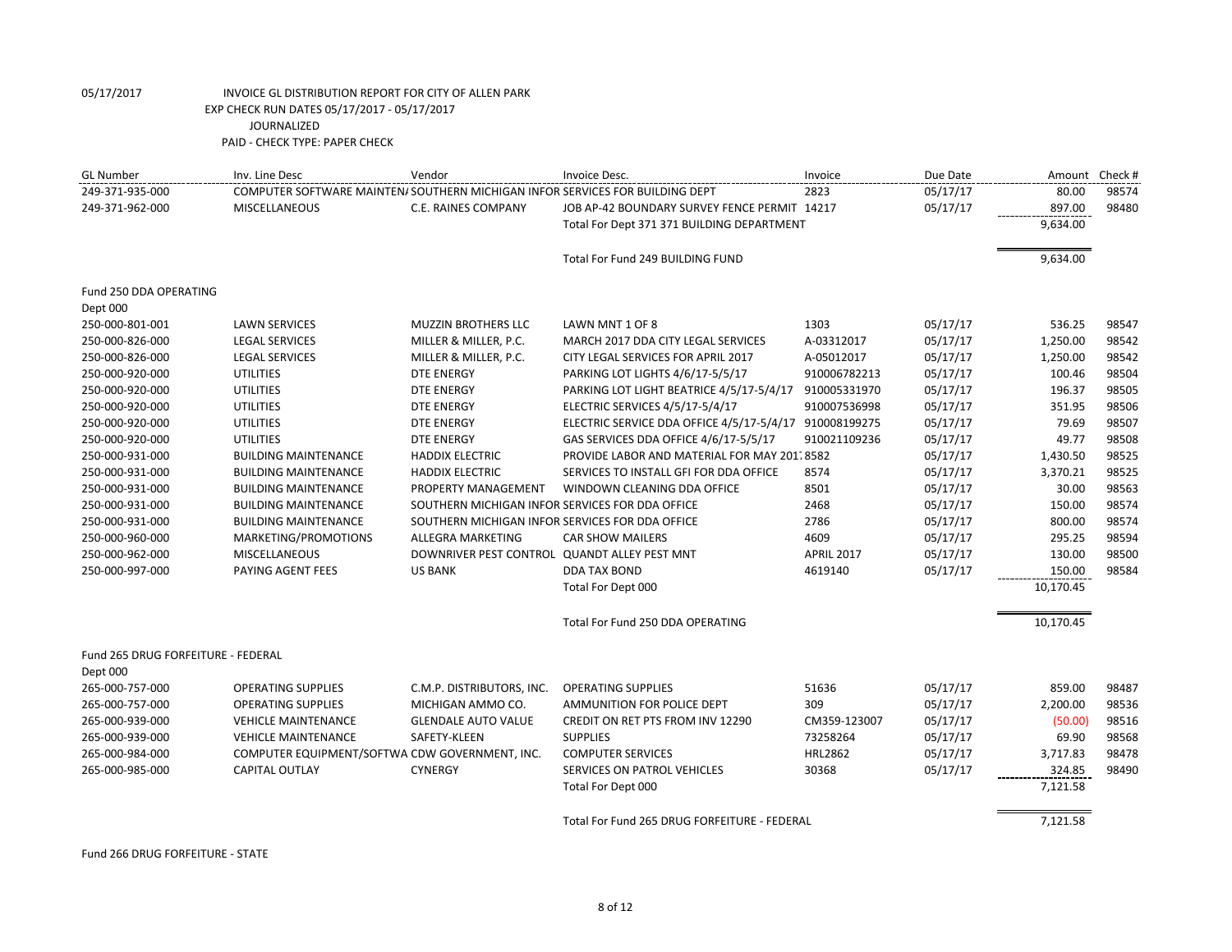| <b>GL Number</b>                   | Inv. Line Desc                                                                | Vendor                                          | Invoice Desc.                                          | Invoice           | Due Date | Amount Check # |       |
|------------------------------------|-------------------------------------------------------------------------------|-------------------------------------------------|--------------------------------------------------------|-------------------|----------|----------------|-------|
| 249-371-935-000                    | COMPUTER SOFTWARE MAINTEN/ SOUTHERN MICHIGAN INFOR SERVICES FOR BUILDING DEPT |                                                 |                                                        | 2823              | 05/17/17 | 80.00          | 98574 |
| 249-371-962-000                    | MISCELLANEOUS                                                                 | C.E. RAINES COMPANY                             | JOB AP-42 BOUNDARY SURVEY FENCE PERMIT 14217           |                   | 05/17/17 | 897.00         | 98480 |
|                                    |                                                                               |                                                 | Total For Dept 371 371 BUILDING DEPARTMENT             |                   |          | 9,634.00       |       |
|                                    |                                                                               |                                                 | Total For Fund 249 BUILDING FUND                       |                   |          | 9,634.00       |       |
| Fund 250 DDA OPERATING             |                                                                               |                                                 |                                                        |                   |          |                |       |
| Dept 000                           |                                                                               |                                                 |                                                        |                   |          |                |       |
| 250-000-801-001                    | <b>LAWN SERVICES</b>                                                          | <b>MUZZIN BROTHERS LLC</b>                      | LAWN MNT 1 OF 8                                        | 1303              | 05/17/17 | 536.25         | 98547 |
| 250-000-826-000                    | <b>LEGAL SERVICES</b>                                                         | MILLER & MILLER, P.C.                           | MARCH 2017 DDA CITY LEGAL SERVICES                     | A-03312017        | 05/17/17 | 1,250.00       | 98542 |
| 250-000-826-000                    | <b>LEGAL SERVICES</b>                                                         | MILLER & MILLER, P.C.                           | CITY LEGAL SERVICES FOR APRIL 2017                     | A-05012017        | 05/17/17 | 1,250.00       | 98542 |
| 250-000-920-000                    | <b>UTILITIES</b>                                                              | <b>DTE ENERGY</b>                               | PARKING LOT LIGHTS 4/6/17-5/5/17                       | 910006782213      | 05/17/17 | 100.46         | 98504 |
| 250-000-920-000                    | <b>UTILITIES</b>                                                              | <b>DTE ENERGY</b>                               | PARKING LOT LIGHT BEATRICE 4/5/17-5/4/17               | 910005331970      | 05/17/17 | 196.37         | 98505 |
| 250-000-920-000                    | <b>UTILITIES</b>                                                              | <b>DTE ENERGY</b>                               | ELECTRIC SERVICES 4/5/17-5/4/17                        | 910007536998      | 05/17/17 | 351.95         | 98506 |
| 250-000-920-000                    | <b>UTILITIES</b>                                                              | <b>DTE ENERGY</b>                               | ELECTRIC SERVICE DDA OFFICE 4/5/17-5/4/17 910008199275 |                   | 05/17/17 | 79.69          | 98507 |
| 250-000-920-000                    | <b>UTILITIES</b>                                                              | <b>DTE ENERGY</b>                               | GAS SERVICES DDA OFFICE 4/6/17-5/5/17                  | 910021109236      | 05/17/17 | 49.77          | 98508 |
| 250-000-931-000                    | <b>BUILDING MAINTENANCE</b>                                                   | <b>HADDIX ELECTRIC</b>                          | PROVIDE LABOR AND MATERIAL FOR MAY 201, 8582           |                   | 05/17/17 | 1,430.50       | 98525 |
| 250-000-931-000                    | <b>BUILDING MAINTENANCE</b>                                                   | <b>HADDIX ELECTRIC</b>                          | SERVICES TO INSTALL GFI FOR DDA OFFICE                 | 8574              | 05/17/17 | 3,370.21       | 98525 |
| 250-000-931-000                    | <b>BUILDING MAINTENANCE</b>                                                   | PROPERTY MANAGEMENT                             | WINDOWN CLEANING DDA OFFICE                            | 8501              | 05/17/17 | 30.00          | 98563 |
| 250-000-931-000                    | <b>BUILDING MAINTENANCE</b>                                                   | SOUTHERN MICHIGAN INFOR SERVICES FOR DDA OFFICE |                                                        | 2468              | 05/17/17 | 150.00         | 98574 |
| 250-000-931-000                    | <b>BUILDING MAINTENANCE</b>                                                   | SOUTHERN MICHIGAN INFOR SERVICES FOR DDA OFFICE |                                                        | 2786              | 05/17/17 | 800.00         | 98574 |
| 250-000-960-000                    | MARKETING/PROMOTIONS                                                          | ALLEGRA MARKETING                               | <b>CAR SHOW MAILERS</b>                                | 4609              | 05/17/17 | 295.25         | 98594 |
| 250-000-962-000                    | <b>MISCELLANEOUS</b>                                                          | DOWNRIVER PEST CONTROL QUANDT ALLEY PEST MNT    |                                                        | <b>APRIL 2017</b> | 05/17/17 | 130.00         | 98500 |
| 250-000-997-000                    | PAYING AGENT FEES                                                             | <b>US BANK</b>                                  | DDA TAX BOND                                           | 4619140           | 05/17/17 | 150.00         | 98584 |
|                                    |                                                                               |                                                 | Total For Dept 000                                     |                   |          | 10,170.45      |       |
|                                    |                                                                               |                                                 | Total For Fund 250 DDA OPERATING                       |                   |          | 10,170.45      |       |
| Fund 265 DRUG FORFEITURE - FEDERAL |                                                                               |                                                 |                                                        |                   |          |                |       |
| Dept 000                           |                                                                               |                                                 |                                                        |                   |          |                |       |
| 265-000-757-000                    | <b>OPERATING SUPPLIES</b>                                                     | C.M.P. DISTRIBUTORS, INC.                       | <b>OPERATING SUPPLIES</b>                              | 51636             | 05/17/17 | 859.00         | 98487 |
| 265-000-757-000                    | <b>OPERATING SUPPLIES</b>                                                     | MICHIGAN AMMO CO.                               | AMMUNITION FOR POLICE DEPT                             | 309               | 05/17/17 | 2,200.00       | 98536 |
| 265-000-939-000                    | <b>VEHICLE MAINTENANCE</b>                                                    | <b>GLENDALE AUTO VALUE</b>                      | CREDIT ON RET PTS FROM INV 12290                       | CM359-123007      | 05/17/17 | (50.00)        | 98516 |
| 265-000-939-000                    | <b>VEHICLE MAINTENANCE</b>                                                    | SAFETY-KLEEN                                    | <b>SUPPLIES</b>                                        | 73258264          | 05/17/17 | 69.90          | 98568 |
| 265-000-984-000                    | COMPUTER EQUIPMENT/SOFTWA CDW GOVERNMENT, INC.                                |                                                 | <b>COMPUTER SERVICES</b>                               | <b>HRL2862</b>    | 05/17/17 | 3,717.83       | 98478 |
| 265-000-985-000                    | <b>CAPITAL OUTLAY</b>                                                         | <b>CYNERGY</b>                                  | SERVICES ON PATROL VEHICLES                            | 30368             | 05/17/17 | 324.85         | 98490 |
|                                    |                                                                               |                                                 | Total For Dept 000                                     |                   |          | 7,121.58       |       |
|                                    |                                                                               |                                                 | Total For Fund 265 DRUG FORFEITURE - FEDERAL           |                   |          | 7,121.58       |       |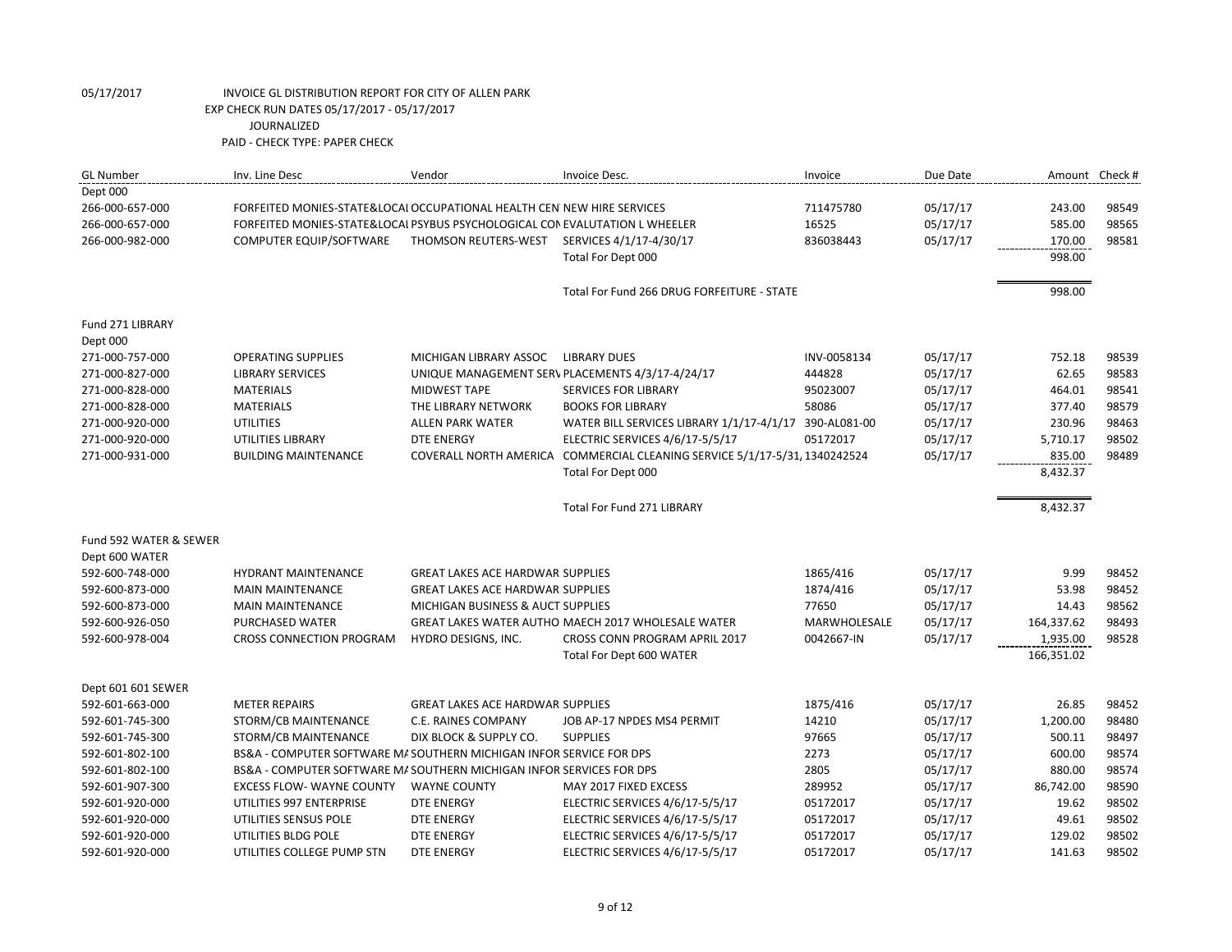| <b>GL Number</b>            | Inv. Line Desc                                                              | Vendor                                  | Invoice Desc.                                                              | Invoice      | Due Date |            | Amount Check # |
|-----------------------------|-----------------------------------------------------------------------------|-----------------------------------------|----------------------------------------------------------------------------|--------------|----------|------------|----------------|
| Dept 000                    |                                                                             |                                         |                                                                            |              |          |            |                |
| 266-000-657-000             | FORFEITED MONIES-STATE&LOCAL OCCUPATIONAL HEALTH CEN NEW HIRE SERVICES      |                                         |                                                                            | 711475780    | 05/17/17 | 243.00     | 98549          |
| 266-000-657-000             | FORFEITED MONIES-STATE&LOCAI PSYBUS PSYCHOLOGICAL CON EVALUTATION L WHEELER |                                         |                                                                            | 16525        | 05/17/17 | 585.00     | 98565          |
| 266-000-982-000             | COMPUTER EQUIP/SOFTWARE                                                     | THOMSON REUTERS-WEST                    | SERVICES 4/1/17-4/30/17                                                    | 836038443    | 05/17/17 | 170.00     | 98581          |
|                             |                                                                             |                                         | Total For Dept 000                                                         |              |          | 998.00     |                |
|                             |                                                                             |                                         | Total For Fund 266 DRUG FORFEITURE - STATE                                 |              |          | 998.00     |                |
| Fund 271 LIBRARY            |                                                                             |                                         |                                                                            |              |          |            |                |
| Dept 000<br>271-000-757-000 | <b>OPERATING SUPPLIES</b>                                                   | MICHIGAN LIBRARY ASSOC                  | <b>LIBRARY DUES</b>                                                        | INV-0058134  | 05/17/17 | 752.18     | 98539          |
| 271-000-827-000             | <b>LIBRARY SERVICES</b>                                                     |                                         | UNIQUE MANAGEMENT SERV PLACEMENTS 4/3/17-4/24/17                           | 444828       | 05/17/17 | 62.65      | 98583          |
| 271-000-828-000             | <b>MATERIALS</b>                                                            | <b>MIDWEST TAPE</b>                     | <b>SERVICES FOR LIBRARY</b>                                                | 95023007     | 05/17/17 | 464.01     | 98541          |
| 271-000-828-000             | <b>MATERIALS</b>                                                            | THE LIBRARY NETWORK                     | <b>BOOKS FOR LIBRARY</b>                                                   | 58086        | 05/17/17 | 377.40     | 98579          |
| 271-000-920-000             | <b>UTILITIES</b>                                                            | <b>ALLEN PARK WATER</b>                 | WATER BILL SERVICES LIBRARY 1/1/17-4/1/17                                  | 390-AL081-00 | 05/17/17 | 230.96     | 98463          |
| 271-000-920-000             | UTILITIES LIBRARY                                                           | DTE ENERGY                              | ELECTRIC SERVICES 4/6/17-5/5/17                                            | 05172017     | 05/17/17 | 5,710.17   | 98502          |
| 271-000-931-000             | <b>BUILDING MAINTENANCE</b>                                                 |                                         | COVERALL NORTH AMERICA COMMERCIAL CLEANING SERVICE 5/1/17-5/31, 1340242524 |              | 05/17/17 | 835.00     | 98489          |
|                             |                                                                             |                                         | Total For Dept 000                                                         |              |          | 8,432.37   |                |
|                             |                                                                             |                                         | Total For Fund 271 LIBRARY                                                 |              |          | 8,432.37   |                |
| Fund 592 WATER & SEWER      |                                                                             |                                         |                                                                            |              |          |            |                |
| Dept 600 WATER              |                                                                             |                                         |                                                                            |              |          |            |                |
| 592-600-748-000             | <b>HYDRANT MAINTENANCE</b>                                                  | <b>GREAT LAKES ACE HARDWAR SUPPLIES</b> |                                                                            | 1865/416     | 05/17/17 | 9.99       | 98452          |
| 592-600-873-000             | <b>MAIN MAINTENANCE</b>                                                     | <b>GREAT LAKES ACE HARDWAR SUPPLIES</b> |                                                                            | 1874/416     | 05/17/17 | 53.98      | 98452          |
| 592-600-873-000             | <b>MAIN MAINTENANCE</b>                                                     | MICHIGAN BUSINESS & AUCT SUPPLIES       |                                                                            | 77650        | 05/17/17 | 14.43      | 98562          |
| 592-600-926-050             | PURCHASED WATER                                                             |                                         | GREAT LAKES WATER AUTHO MAECH 2017 WHOLESALE WATER                         | MARWHOLESALE | 05/17/17 | 164,337.62 | 98493          |
| 592-600-978-004             | <b>CROSS CONNECTION PROGRAM</b>                                             | HYDRO DESIGNS, INC.                     | CROSS CONN PROGRAM APRIL 2017                                              | 0042667-IN   | 05/17/17 | 1,935.00   | 98528          |
|                             |                                                                             |                                         | Total For Dept 600 WATER                                                   |              |          | 166,351.02 |                |
| Dept 601 601 SEWER          |                                                                             |                                         |                                                                            |              |          |            |                |
| 592-601-663-000             | <b>METER REPAIRS</b>                                                        | <b>GREAT LAKES ACE HARDWAR SUPPLIES</b> |                                                                            | 1875/416     | 05/17/17 | 26.85      | 98452          |
| 592-601-745-300             | STORM/CB MAINTENANCE                                                        | <b>C.E. RAINES COMPANY</b>              | JOB AP-17 NPDES MS4 PERMIT                                                 | 14210        | 05/17/17 | 1,200.00   | 98480          |
| 592-601-745-300             | STORM/CB MAINTENANCE                                                        | DIX BLOCK & SUPPLY CO.                  | <b>SUPPLIES</b>                                                            | 97665        | 05/17/17 | 500.11     | 98497          |
| 592-601-802-100             | BS&A - COMPUTER SOFTWARE MA SOUTHERN MICHIGAN INFOR SERVICE FOR DPS         |                                         |                                                                            | 2273         | 05/17/17 | 600.00     | 98574          |
| 592-601-802-100             | BS&A - COMPUTER SOFTWARE MA SOUTHERN MICHIGAN INFOR SERVICES FOR DPS        |                                         |                                                                            | 2805         | 05/17/17 | 880.00     | 98574          |
| 592-601-907-300             | <b>EXCESS FLOW- WAYNE COUNTY</b>                                            | <b>WAYNE COUNTY</b>                     | MAY 2017 FIXED EXCESS                                                      | 289952       | 05/17/17 | 86,742.00  | 98590          |
| 592-601-920-000             | UTILITIES 997 ENTERPRISE                                                    | DTE ENERGY                              | ELECTRIC SERVICES 4/6/17-5/5/17                                            | 05172017     | 05/17/17 | 19.62      | 98502          |
| 592-601-920-000             | UTILITIES SENSUS POLE                                                       | <b>DTE ENERGY</b>                       | ELECTRIC SERVICES 4/6/17-5/5/17                                            | 05172017     | 05/17/17 | 49.61      | 98502          |
| 592-601-920-000             | UTILITIES BLDG POLE                                                         | <b>DTE ENERGY</b>                       | ELECTRIC SERVICES 4/6/17-5/5/17                                            | 05172017     | 05/17/17 | 129.02     | 98502          |
| 592-601-920-000             | UTILITIES COLLEGE PUMP STN                                                  | <b>DTE ENERGY</b>                       | ELECTRIC SERVICES 4/6/17-5/5/17                                            | 05172017     | 05/17/17 | 141.63     | 98502          |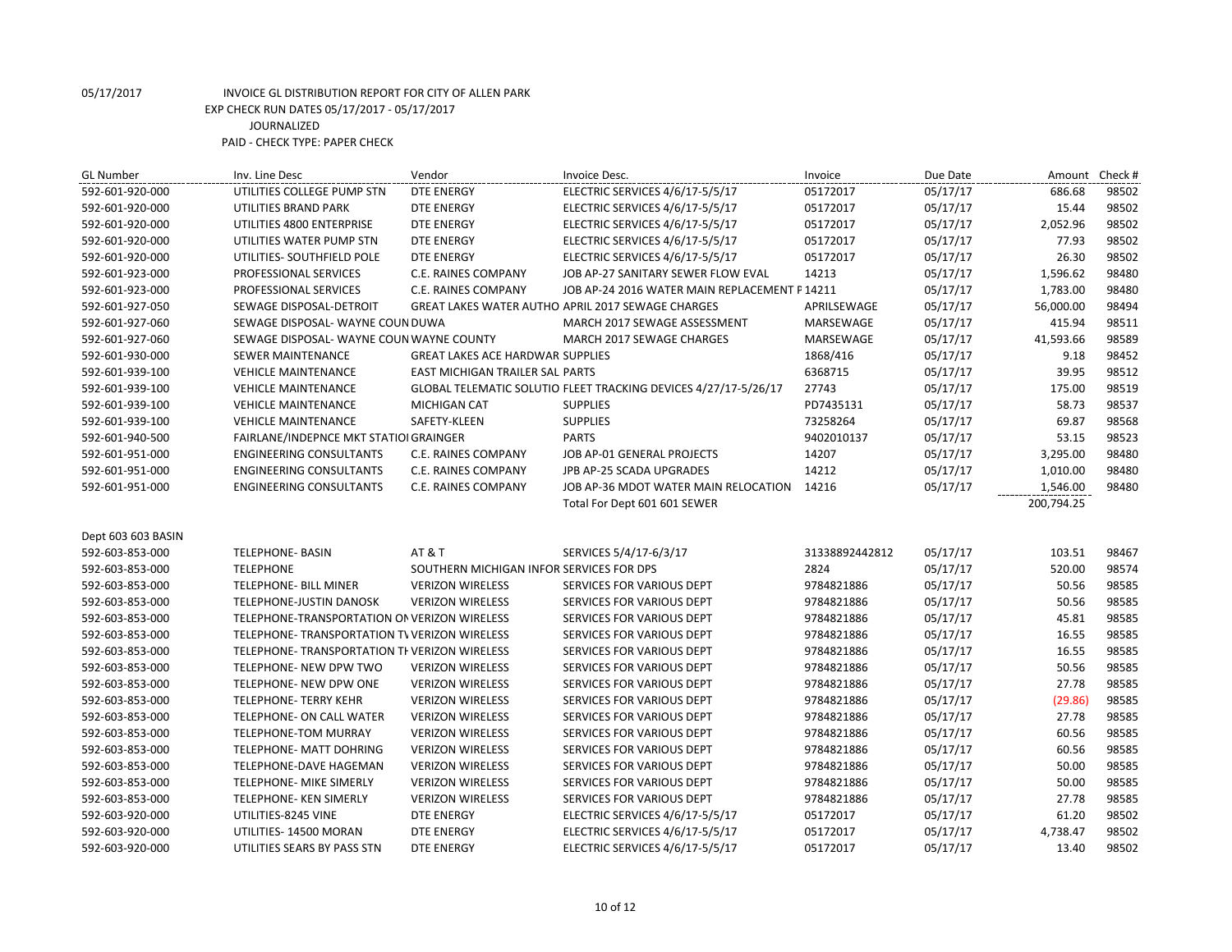| <b>GL Number</b>   | Inv. Line Desc                                | Vendor                                   | Invoice Desc.                                                   | Invoice        | Due Date | Amount     | Check # |
|--------------------|-----------------------------------------------|------------------------------------------|-----------------------------------------------------------------|----------------|----------|------------|---------|
| 592-601-920-000    | UTILITIES COLLEGE PUMP STN                    | <b>DTE ENERGY</b>                        | ELECTRIC SERVICES 4/6/17-5/5/17                                 | 05172017       | 05/17/17 | 686.68     | 98502   |
| 592-601-920-000    | UTILITIES BRAND PARK                          | DTE ENERGY                               | ELECTRIC SERVICES 4/6/17-5/5/17                                 | 05172017       | 05/17/17 | 15.44      | 98502   |
| 592-601-920-000    | UTILITIES 4800 ENTERPRISE                     | DTE ENERGY                               | ELECTRIC SERVICES 4/6/17-5/5/17                                 | 05172017       | 05/17/17 | 2,052.96   | 98502   |
| 592-601-920-000    | UTILITIES WATER PUMP STN                      | <b>DTE ENERGY</b>                        | ELECTRIC SERVICES 4/6/17-5/5/17                                 | 05172017       | 05/17/17 | 77.93      | 98502   |
| 592-601-920-000    | UTILITIES- SOUTHFIELD POLE                    | <b>DTE ENERGY</b>                        | ELECTRIC SERVICES 4/6/17-5/5/17                                 | 05172017       | 05/17/17 | 26.30      | 98502   |
| 592-601-923-000    | PROFESSIONAL SERVICES                         | C.E. RAINES COMPANY                      | JOB AP-27 SANITARY SEWER FLOW EVAL                              | 14213          | 05/17/17 | 1,596.62   | 98480   |
| 592-601-923-000    | PROFESSIONAL SERVICES                         | C.E. RAINES COMPANY                      | JOB AP-24 2016 WATER MAIN REPLACEMENT P 14211                   |                | 05/17/17 | 1,783.00   | 98480   |
| 592-601-927-050    | SEWAGE DISPOSAL-DETROIT                       |                                          | GREAT LAKES WATER AUTHO APRIL 2017 SEWAGE CHARGES               | APRILSEWAGE    | 05/17/17 | 56,000.00  | 98494   |
| 592-601-927-060    | SEWAGE DISPOSAL- WAYNE COUN DUWA              |                                          | MARCH 2017 SEWAGE ASSESSMENT                                    | MARSEWAGE      | 05/17/17 | 415.94     | 98511   |
| 592-601-927-060    | SEWAGE DISPOSAL-WAYNE COUN WAYNE COUNTY       |                                          | MARCH 2017 SEWAGE CHARGES                                       | MARSEWAGE      | 05/17/17 | 41,593.66  | 98589   |
| 592-601-930-000    | SEWER MAINTENANCE                             | <b>GREAT LAKES ACE HARDWAR SUPPLIES</b>  |                                                                 | 1868/416       | 05/17/17 | 9.18       | 98452   |
| 592-601-939-100    | <b>VEHICLE MAINTENANCE</b>                    | EAST MICHIGAN TRAILER SAL PARTS          |                                                                 | 6368715        | 05/17/17 | 39.95      | 98512   |
| 592-601-939-100    | <b>VEHICLE MAINTENANCE</b>                    |                                          | GLOBAL TELEMATIC SOLUTIO FLEET TRACKING DEVICES 4/27/17-5/26/17 | 27743          | 05/17/17 | 175.00     | 98519   |
| 592-601-939-100    | <b>VEHICLE MAINTENANCE</b>                    | <b>MICHIGAN CAT</b>                      | <b>SUPPLIES</b>                                                 | PD7435131      | 05/17/17 | 58.73      | 98537   |
| 592-601-939-100    | <b>VEHICLE MAINTENANCE</b>                    | SAFETY-KLEEN                             | <b>SUPPLIES</b>                                                 | 73258264       | 05/17/17 | 69.87      | 98568   |
| 592-601-940-500    | FAIRLANE/INDEPNCE MKT STATIOI GRAINGER        |                                          | <b>PARTS</b>                                                    | 9402010137     | 05/17/17 | 53.15      | 98523   |
| 592-601-951-000    | <b>ENGINEERING CONSULTANTS</b>                | C.E. RAINES COMPANY                      | JOB AP-01 GENERAL PROJECTS                                      | 14207          | 05/17/17 | 3,295.00   | 98480   |
| 592-601-951-000    | <b>ENGINEERING CONSULTANTS</b>                | C.E. RAINES COMPANY                      | JPB AP-25 SCADA UPGRADES                                        | 14212          | 05/17/17 | 1,010.00   | 98480   |
| 592-601-951-000    | <b>ENGINEERING CONSULTANTS</b>                | C.E. RAINES COMPANY                      | JOB AP-36 MDOT WATER MAIN RELOCATION                            | 14216          | 05/17/17 | 1,546.00   | 98480   |
|                    |                                               |                                          | Total For Dept 601 601 SEWER                                    |                |          | 200,794.25 |         |
|                    |                                               |                                          |                                                                 |                |          |            |         |
| Dept 603 603 BASIN |                                               |                                          |                                                                 |                |          |            |         |
| 592-603-853-000    | <b>TELEPHONE- BASIN</b>                       | <b>AT &amp; T</b>                        | SERVICES 5/4/17-6/3/17                                          | 31338892442812 | 05/17/17 | 103.51     | 98467   |
| 592-603-853-000    | <b>TELEPHONE</b>                              | SOUTHERN MICHIGAN INFOR SERVICES FOR DPS |                                                                 | 2824           | 05/17/17 | 520.00     | 98574   |
| 592-603-853-000    | <b>TELEPHONE- BILL MINER</b>                  | <b>VERIZON WIRELESS</b>                  | SERVICES FOR VARIOUS DEPT                                       | 9784821886     | 05/17/17 | 50.56      | 98585   |
| 592-603-853-000    | TELEPHONE-JUSTIN DANOSK                       | <b>VERIZON WIRELESS</b>                  | SERVICES FOR VARIOUS DEPT                                       | 9784821886     | 05/17/17 | 50.56      | 98585   |
| 592-603-853-000    | TELEPHONE-TRANSPORTATION ON VERIZON WIRELESS  |                                          | SERVICES FOR VARIOUS DEPT                                       | 9784821886     | 05/17/17 | 45.81      | 98585   |
| 592-603-853-000    | TELEPHONE- TRANSPORTATION TV VERIZON WIRELESS |                                          | SERVICES FOR VARIOUS DEPT                                       | 9784821886     | 05/17/17 | 16.55      | 98585   |
| 592-603-853-000    | TELEPHONE-TRANSPORTATION THVERIZON WIRELESS   |                                          | SERVICES FOR VARIOUS DEPT                                       | 9784821886     | 05/17/17 | 16.55      | 98585   |
| 592-603-853-000    | TELEPHONE- NEW DPW TWO                        | <b>VERIZON WIRELESS</b>                  | SERVICES FOR VARIOUS DEPT                                       | 9784821886     | 05/17/17 | 50.56      | 98585   |
| 592-603-853-000    | TELEPHONE- NEW DPW ONE                        | <b>VERIZON WIRELESS</b>                  | SERVICES FOR VARIOUS DEPT                                       | 9784821886     | 05/17/17 | 27.78      | 98585   |
| 592-603-853-000    | <b>TELEPHONE- TERRY KEHR</b>                  | <b>VERIZON WIRELESS</b>                  | SERVICES FOR VARIOUS DEPT                                       | 9784821886     | 05/17/17 | (29.86)    | 98585   |
| 592-603-853-000    | TELEPHONE- ON CALL WATER                      | <b>VERIZON WIRELESS</b>                  | SERVICES FOR VARIOUS DEPT                                       | 9784821886     | 05/17/17 | 27.78      | 98585   |
| 592-603-853-000    | <b>TELEPHONE-TOM MURRAY</b>                   | <b>VERIZON WIRELESS</b>                  | SERVICES FOR VARIOUS DEPT                                       | 9784821886     | 05/17/17 | 60.56      | 98585   |
| 592-603-853-000    | TELEPHONE- MATT DOHRING                       | <b>VERIZON WIRELESS</b>                  | SERVICES FOR VARIOUS DEPT                                       | 9784821886     | 05/17/17 | 60.56      | 98585   |
| 592-603-853-000    | TELEPHONE-DAVE HAGEMAN                        | <b>VERIZON WIRELESS</b>                  | SERVICES FOR VARIOUS DEPT                                       | 9784821886     | 05/17/17 | 50.00      | 98585   |
| 592-603-853-000    | TELEPHONE- MIKE SIMERLY                       | <b>VERIZON WIRELESS</b>                  | SERVICES FOR VARIOUS DEPT                                       | 9784821886     | 05/17/17 | 50.00      | 98585   |
| 592-603-853-000    | TELEPHONE- KEN SIMERLY                        | <b>VERIZON WIRELESS</b>                  | SERVICES FOR VARIOUS DEPT                                       | 9784821886     | 05/17/17 | 27.78      | 98585   |
| 592-603-920-000    | UTILITIES-8245 VINE                           | <b>DTE ENERGY</b>                        | ELECTRIC SERVICES 4/6/17-5/5/17                                 | 05172017       | 05/17/17 | 61.20      | 98502   |
| 592-603-920-000    | UTILITIES-14500 MORAN                         | <b>DTE ENERGY</b>                        | ELECTRIC SERVICES 4/6/17-5/5/17                                 | 05172017       | 05/17/17 | 4,738.47   | 98502   |
| 592-603-920-000    | UTILITIES SEARS BY PASS STN                   | <b>DTE ENERGY</b>                        | ELECTRIC SERVICES 4/6/17-5/5/17                                 | 05172017       | 05/17/17 | 13.40      | 98502   |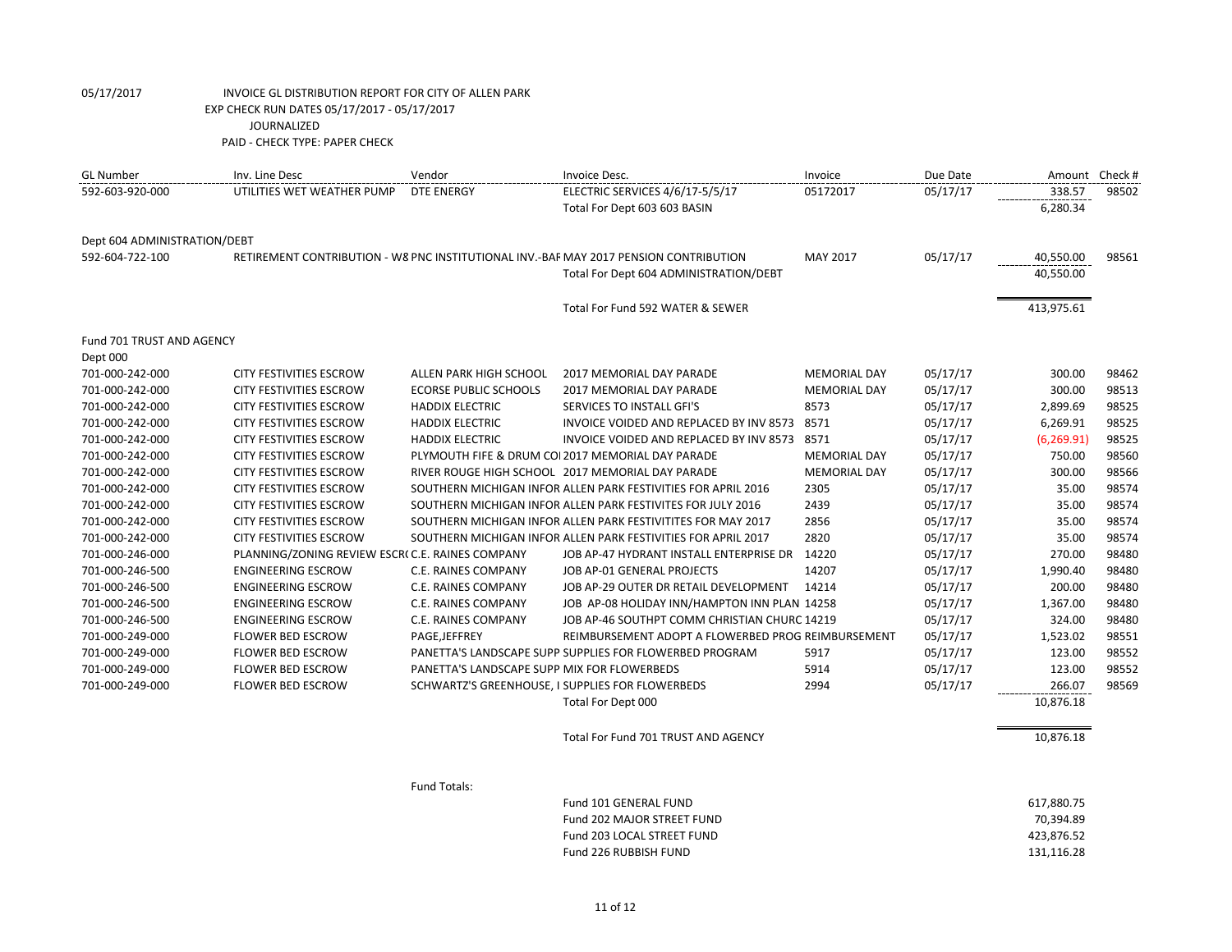| <b>GL Number</b>             | Inv. Line Desc                                  | Vendor                                      | Invoice Desc.                                                                         | Invoice             | Due Date | Amount Check # |       |
|------------------------------|-------------------------------------------------|---------------------------------------------|---------------------------------------------------------------------------------------|---------------------|----------|----------------|-------|
| 592-603-920-000              | UTILITIES WET WEATHER PUMP                      | DTE ENERGY                                  | ELECTRIC SERVICES 4/6/17-5/5/17                                                       | 05172017            | 05/17/17 | 338.57         | 98502 |
|                              |                                                 |                                             | Total For Dept 603 603 BASIN                                                          |                     |          | 6,280.34       |       |
| Dept 604 ADMINISTRATION/DEBT |                                                 |                                             |                                                                                       |                     |          |                |       |
| 592-604-722-100              |                                                 |                                             | RETIREMENT CONTRIBUTION - W8 PNC INSTITUTIONAL INV.-BAF MAY 2017 PENSION CONTRIBUTION | MAY 2017            | 05/17/17 | 40,550.00      | 98561 |
|                              |                                                 |                                             | Total For Dept 604 ADMINISTRATION/DEBT                                                |                     |          | 40,550.00      |       |
|                              |                                                 |                                             | Total For Fund 592 WATER & SEWER                                                      |                     |          | 413,975.61     |       |
| Fund 701 TRUST AND AGENCY    |                                                 |                                             |                                                                                       |                     |          |                |       |
| Dept 000                     |                                                 |                                             |                                                                                       |                     |          |                |       |
| 701-000-242-000              | <b>CITY FESTIVITIES ESCROW</b>                  | ALLEN PARK HIGH SCHOOL                      | 2017 MEMORIAL DAY PARADE                                                              | <b>MEMORIAL DAY</b> | 05/17/17 | 300.00         | 98462 |
| 701-000-242-000              | <b>CITY FESTIVITIES ESCROW</b>                  | <b>ECORSE PUBLIC SCHOOLS</b>                | 2017 MEMORIAL DAY PARADE                                                              | <b>MEMORIAL DAY</b> | 05/17/17 | 300.00         | 98513 |
| 701-000-242-000              | <b>CITY FESTIVITIES ESCROW</b>                  | <b>HADDIX ELECTRIC</b>                      | SERVICES TO INSTALL GFI'S                                                             | 8573                | 05/17/17 | 2,899.69       | 98525 |
| 701-000-242-000              | <b>CITY FESTIVITIES ESCROW</b>                  | <b>HADDIX ELECTRIC</b>                      | INVOICE VOIDED AND REPLACED BY INV 8573 8571                                          |                     | 05/17/17 | 6,269.91       | 98525 |
| 701-000-242-000              | CITY FESTIVITIES ESCROW                         | <b>HADDIX ELECTRIC</b>                      | INVOICE VOIDED AND REPLACED BY INV 8573 8571                                          |                     | 05/17/17 | (6, 269.91)    | 98525 |
| 701-000-242-000              | <b>CITY FESTIVITIES ESCROW</b>                  |                                             | PLYMOUTH FIFE & DRUM COI 2017 MEMORIAL DAY PARADE                                     | <b>MEMORIAL DAY</b> | 05/17/17 | 750.00         | 98560 |
| 701-000-242-000              | CITY FESTIVITIES ESCROW                         |                                             | RIVER ROUGE HIGH SCHOOL 2017 MEMORIAL DAY PARADE                                      | <b>MEMORIAL DAY</b> | 05/17/17 | 300.00         | 98566 |
| 701-000-242-000              | CITY FESTIVITIES ESCROW                         |                                             | SOUTHERN MICHIGAN INFOR ALLEN PARK FESTIVITIES FOR APRIL 2016                         | 2305                | 05/17/17 | 35.00          | 98574 |
| 701-000-242-000              | <b>CITY FESTIVITIES ESCROW</b>                  |                                             | SOUTHERN MICHIGAN INFOR ALLEN PARK FESTIVITES FOR JULY 2016                           | 2439                | 05/17/17 | 35.00          | 98574 |
| 701-000-242-000              | <b>CITY FESTIVITIES ESCROW</b>                  |                                             | SOUTHERN MICHIGAN INFOR ALLEN PARK FESTIVITITES FOR MAY 2017                          | 2856                | 05/17/17 | 35.00          | 98574 |
| 701-000-242-000              | <b>CITY FESTIVITIES ESCROW</b>                  |                                             | SOUTHERN MICHIGAN INFOR ALLEN PARK FESTIVITIES FOR APRIL 2017                         | 2820                | 05/17/17 | 35.00          | 98574 |
| 701-000-246-000              | PLANNING/ZONING REVIEW ESCR(C.E. RAINES COMPANY |                                             | JOB AP-47 HYDRANT INSTALL ENTERPRISE DR 14220                                         |                     | 05/17/17 | 270.00         | 98480 |
| 701-000-246-500              | <b>ENGINEERING ESCROW</b>                       | C.E. RAINES COMPANY                         | JOB AP-01 GENERAL PROJECTS                                                            | 14207               | 05/17/17 | 1,990.40       | 98480 |
| 701-000-246-500              | <b>ENGINEERING ESCROW</b>                       | C.E. RAINES COMPANY                         | JOB AP-29 OUTER DR RETAIL DEVELOPMENT                                                 | 14214               | 05/17/17 | 200.00         | 98480 |
| 701-000-246-500              | <b>ENGINEERING ESCROW</b>                       | C.E. RAINES COMPANY                         | JOB AP-08 HOLIDAY INN/HAMPTON INN PLAN 14258                                          |                     | 05/17/17 | 1,367.00       | 98480 |
| 701-000-246-500              | <b>ENGINEERING ESCROW</b>                       | C.E. RAINES COMPANY                         | JOB AP-46 SOUTHPT COMM CHRISTIAN CHURC 14219                                          |                     | 05/17/17 | 324.00         | 98480 |
| 701-000-249-000              | <b>FLOWER BED ESCROW</b>                        | PAGE, JEFFREY                               | REIMBURSEMENT ADOPT A FLOWERBED PROG REIMBURSEMENT                                    |                     | 05/17/17 | 1,523.02       | 98551 |
| 701-000-249-000              | <b>FLOWER BED ESCROW</b>                        |                                             | PANETTA'S LANDSCAPE SUPP SUPPLIES FOR FLOWERBED PROGRAM                               | 5917                | 05/17/17 | 123.00         | 98552 |
| 701-000-249-000              | <b>FLOWER BED ESCROW</b>                        | PANETTA'S LANDSCAPE SUPP MIX FOR FLOWERBEDS |                                                                                       | 5914                | 05/17/17 | 123.00         | 98552 |
| 701-000-249-000              | <b>FLOWER BED ESCROW</b>                        |                                             | SCHWARTZ'S GREENHOUSE, I SUPPLIES FOR FLOWERBEDS                                      | 2994                | 05/17/17 | 266.07         | 98569 |
|                              |                                                 |                                             | Total For Dept 000                                                                    |                     |          | 10,876.18      |       |
|                              |                                                 |                                             | Total For Fund 701 TRUST AND AGENCY                                                   |                     |          | 10,876.18      |       |
|                              |                                                 | Fund Totals:                                |                                                                                       |                     |          |                |       |

Fund 101 GENERAL FUND 617,880.75 Fund 202 MAJOR STREET FUND 70,394.89 Fund 203 LOCAL STREET FUND 423,876.52<br>
Fund 226 RUBBISH FUND 431,116.28 Fund 226 RUBBISH FUND